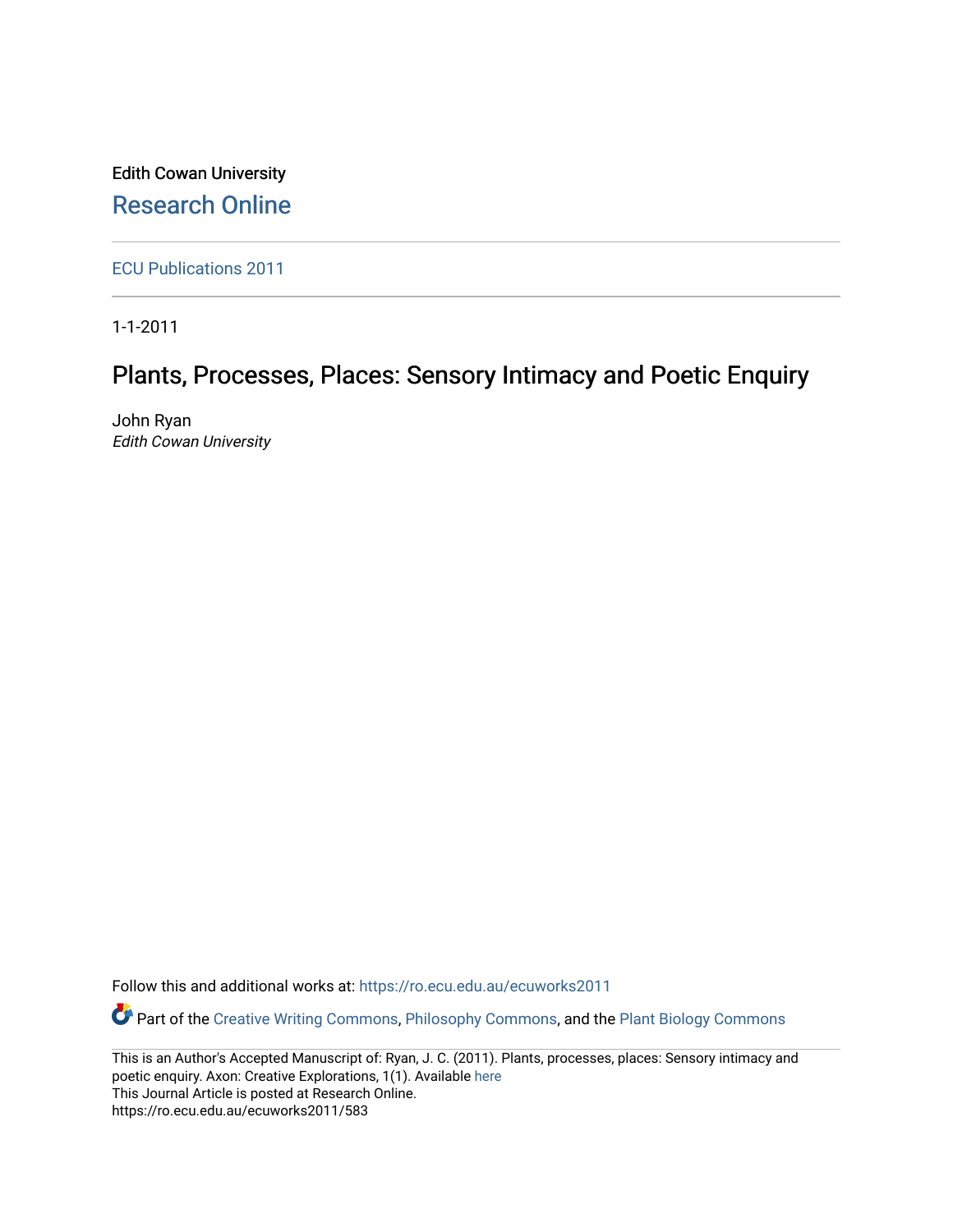Edith Cowan University [Research Online](https://ro.ecu.edu.au/) 

[ECU Publications 2011](https://ro.ecu.edu.au/ecuworks2011)

1-1-2011

# Plants, Processes, Places: Sensory Intimacy and Poetic Enquiry

John Ryan Edith Cowan University

Follow this and additional works at: [https://ro.ecu.edu.au/ecuworks2011](https://ro.ecu.edu.au/ecuworks2011?utm_source=ro.ecu.edu.au%2Fecuworks2011%2F583&utm_medium=PDF&utm_campaign=PDFCoverPages) 

Part of the [Creative Writing Commons](http://network.bepress.com/hgg/discipline/574?utm_source=ro.ecu.edu.au%2Fecuworks2011%2F583&utm_medium=PDF&utm_campaign=PDFCoverPages), [Philosophy Commons](http://network.bepress.com/hgg/discipline/525?utm_source=ro.ecu.edu.au%2Fecuworks2011%2F583&utm_medium=PDF&utm_campaign=PDFCoverPages), and the [Plant Biology Commons](http://network.bepress.com/hgg/discipline/106?utm_source=ro.ecu.edu.au%2Fecuworks2011%2F583&utm_medium=PDF&utm_campaign=PDFCoverPages) 

This is an Author's Accepted Manuscript of: Ryan, J. C. (2011). Plants, processes, places: Sensory intimacy and poetic enquiry. Axon: Creative Explorations, 1(1). Available [here](http://axonjournal.com.au/issue-1/plants-processes-places-sensory-intimacy-and-poetic-enquiry) This Journal Article is posted at Research Online. https://ro.ecu.edu.au/ecuworks2011/583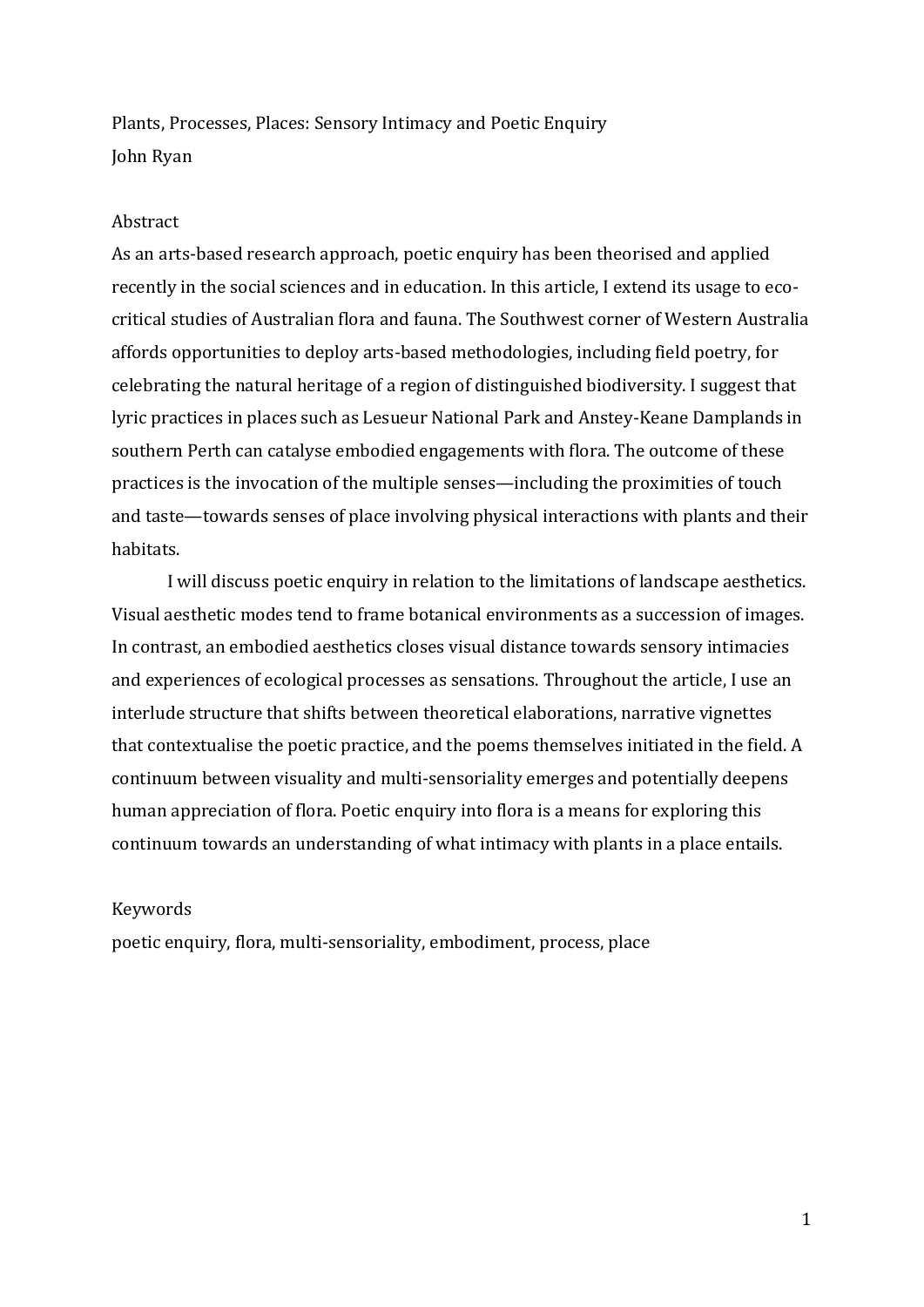Plants, Processes, Places: Sensory Intimacy and Poetic Enquiry John Ryan

# Abstract

As an arts-based research approach, poetic enquiry has been theorised and applied recently in the social sciences and in education. In this article, I extend its usage to ecocritical studies of Australian flora and fauna. The Southwest corner of Western Australia affords opportunities to deploy arts-based methodologies, including field poetry, for celebrating the natural heritage of a region of distinguished biodiversity. I suggest that lyric practices in places such as Lesueur National Park and Anstey-Keane Damplands in southern Perth can catalyse embodied engagements with flora. The outcome of these practices is the invocation of the multiple senses—including the proximities of touch and taste—towards senses of place involving physical interactions with plants and their habitats.

I will discuss poetic enquiry in relation to the limitations of landscape aesthetics. Visual aesthetic modes tend to frame botanical environments as a succession of images. In contrast, an embodied aesthetics closes visual distance towards sensory intimacies and experiences of ecological processes as sensations. Throughout the article, I use an interlude structure that shifts between theoretical elaborations, narrative vignettes that contextualise the poetic practice, and the poems themselves initiated in the field. A continuum between visuality and multi-sensoriality emerges and potentially deepens human appreciation of flora. Poetic enquiry into flora is a means for exploring this continuum towards an understanding of what intimacy with plants in a place entails.

# Keywords

poetic enquiry, flora, multi-sensoriality, embodiment, process, place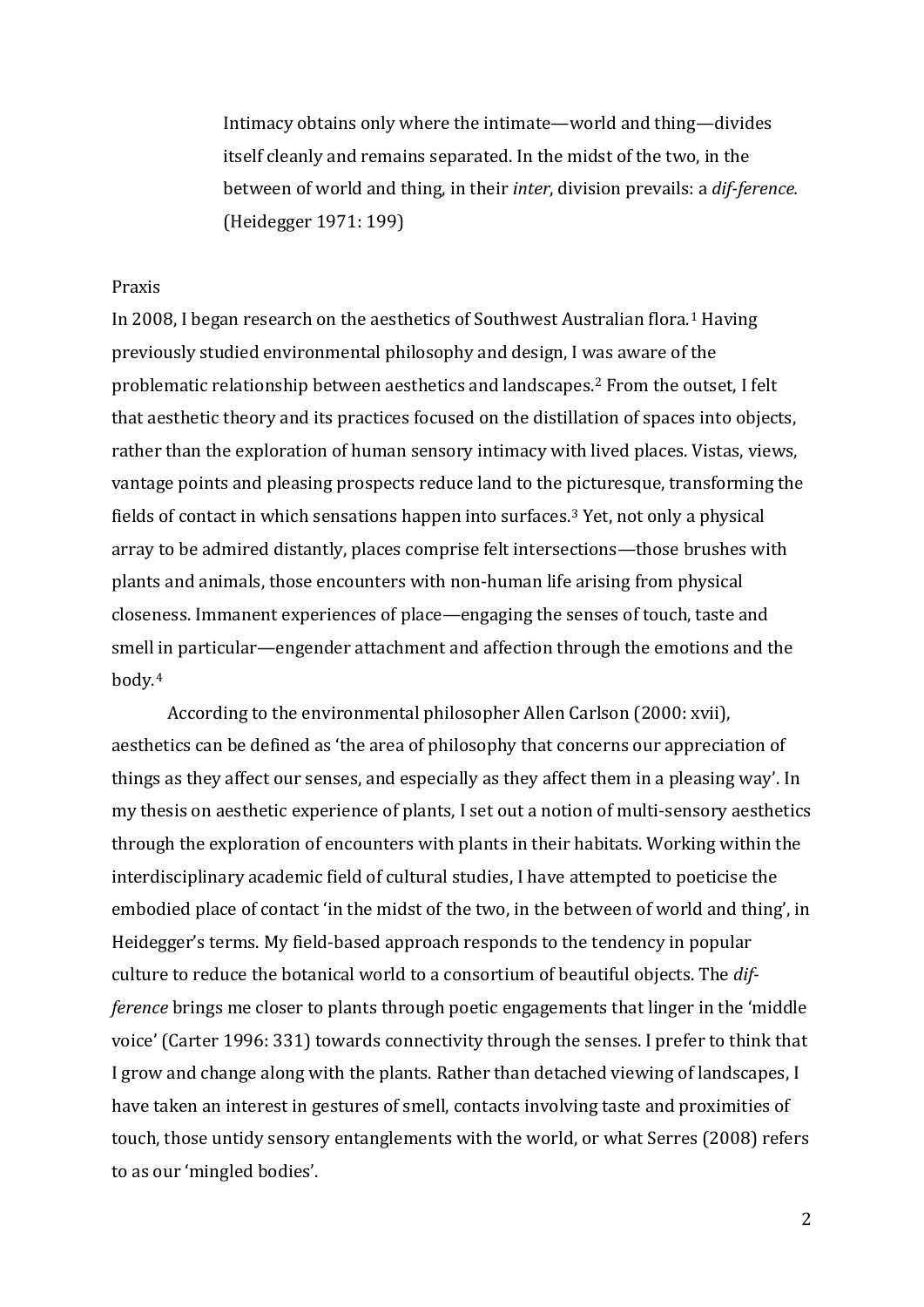Intimacy obtains only where the intimate—world and thing—divides itself cleanly and remains separated. In the midst of the two, in the between of world and thing, in their *inter*, division prevails: a *dif-ference.* (Heidegger 1971: 199)

# Praxis

In 2008, I began research on the aesthetics of Southwest Australian flora.<sup>[1](#page-20-0)</sup> Having previously studied environmental philosophy and design, I was aware of the problematic relationship between aesthetics and landscapes.[2](#page-20-1) From the outset, I felt that aesthetic theory and its practices focused on the distillation of spaces into objects, rather than the exploration of human sensory intimacy with lived places. Vistas, views, vantage points and pleasing prospects reduce land to the picturesque, transforming the fields of contact in which sensations happen into surfaces.[3](#page-20-2) Yet, not only a physical array to be admired distantly, places comprise felt intersections—those brushes with plants and animals, those encounters with non-human life arising from physical closeness. Immanent experiences of place—engaging the senses of touch, taste and smell in particular—engender attachment and affection through the emotions and the body.[4](#page-20-3)

According to the environmental philosopher Allen Carlson (2000: xvii), aesthetics can be defined as 'the area of philosophy that concerns our appreciation of things as they affect our senses, and especially as they affect them in a pleasing way'. In my thesis on aesthetic experience of plants, I set out a notion of multi-sensory aesthetics through the exploration of encounters with plants in their habitats. Working within the interdisciplinary academic field of cultural studies, I have attempted to poeticise the embodied place of contact 'in the midst of the two, in the between of world and thing', in Heidegger's terms. My field-based approach responds to the tendency in popular culture to reduce the botanical world to a consortium of beautiful objects. The *difference* brings me closer to plants through poetic engagements that linger in the 'middle voice' (Carter 1996: 331) towards connectivity through the senses. I prefer to think that I grow and change along with the plants. Rather than detached viewing of landscapes, I have taken an interest in gestures of smell, contacts involving taste and proximities of touch, those untidy sensory entanglements with the world, or what Serres (2008) refers to as our 'mingled bodies'.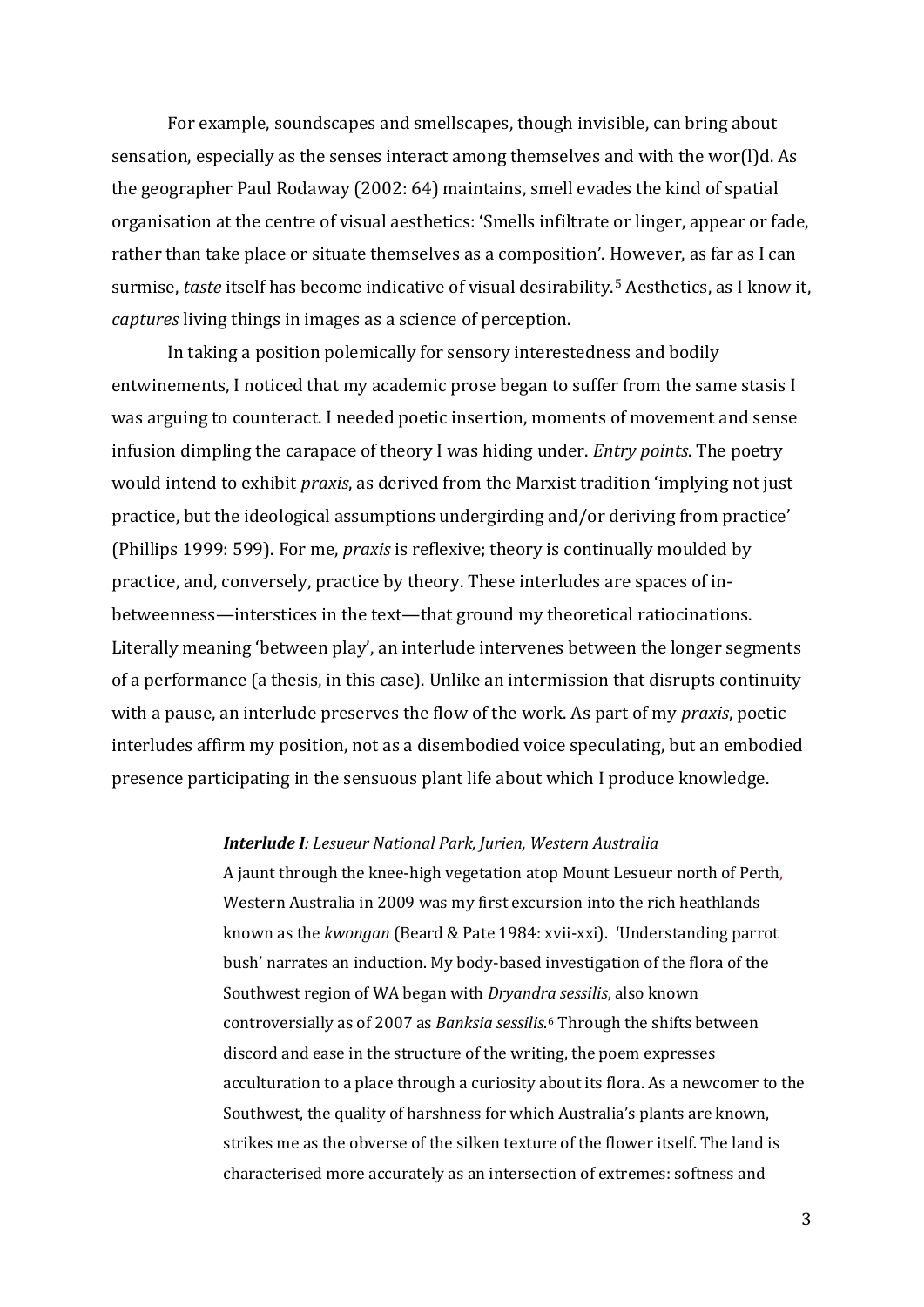For example, soundscapes and smellscapes, though invisible, can bring about sensation, especially as the senses interact among themselves and with the wor(l)d. As the geographer Paul Rodaway (2002: 64) maintains, smell evades the kind of spatial organisation at the centre of visual aesthetics: 'Smells infiltrate or linger, appear or fade, rather than take place or situate themselves as a composition'. However, as far as I can surmise, *taste* itself has become indicative of visual desirability.[5](#page-21-0) Aesthetics, as I know it, *captures* living things in images as a science of perception.

In taking a position polemically for sensory interestedness and bodily entwinements, I noticed that my academic prose began to suffer from the same stasis I was arguing to counteract. I needed poetic insertion, moments of movement and sense infusion dimpling the carapace of theory I was hiding under. *Entry points*. The poetry would intend to exhibit *praxis*, as derived from the Marxist tradition 'implying not just practice, but the ideological assumptions undergirding and/or deriving from practice' (Phillips 1999: 599). For me, *praxis* is reflexive; theory is continually moulded by practice, and, conversely, practice by theory. These interludes are spaces of inbetweenness—interstices in the text—that ground my theoretical ratiocinations. Literally meaning 'between play', an interlude intervenes between the longer segments of a performance (a thesis, in this case). Unlike an intermission that disrupts continuity with a pause, an interlude preserves the flow of the work. As part of my *praxis*, poetic interludes affirm my position, not as a disembodied voice speculating, but an embodied presence participating in the sensuous plant life about which I produce knowledge.

## *Interlude I: Lesueur National Park, Jurien, Western Australia*

A jaunt through the knee-high vegetation atop Mount Lesueur north of Perth, Western Australia in 2009 was my first excursion into the rich heathlands known as the *kwongan* (Beard & Pate 1984: xvii-xxi). 'Understanding parrot bush' narrates an induction. My body-based investigation of the flora of the Southwest region of WA began with *Dryandra sessilis*, also known controversially as of 2007 as *Banksia sessilis*.[6](#page-21-1) Through the shifts between discord and ease in the structure of the writing, the poem expresses acculturation to a place through a curiosity about its flora. As a newcomer to the Southwest, the quality of harshness for which Australia's plants are known, strikes me as the obverse of the silken texture of the flower itself. The land is characterised more accurately as an intersection of extremes: softness and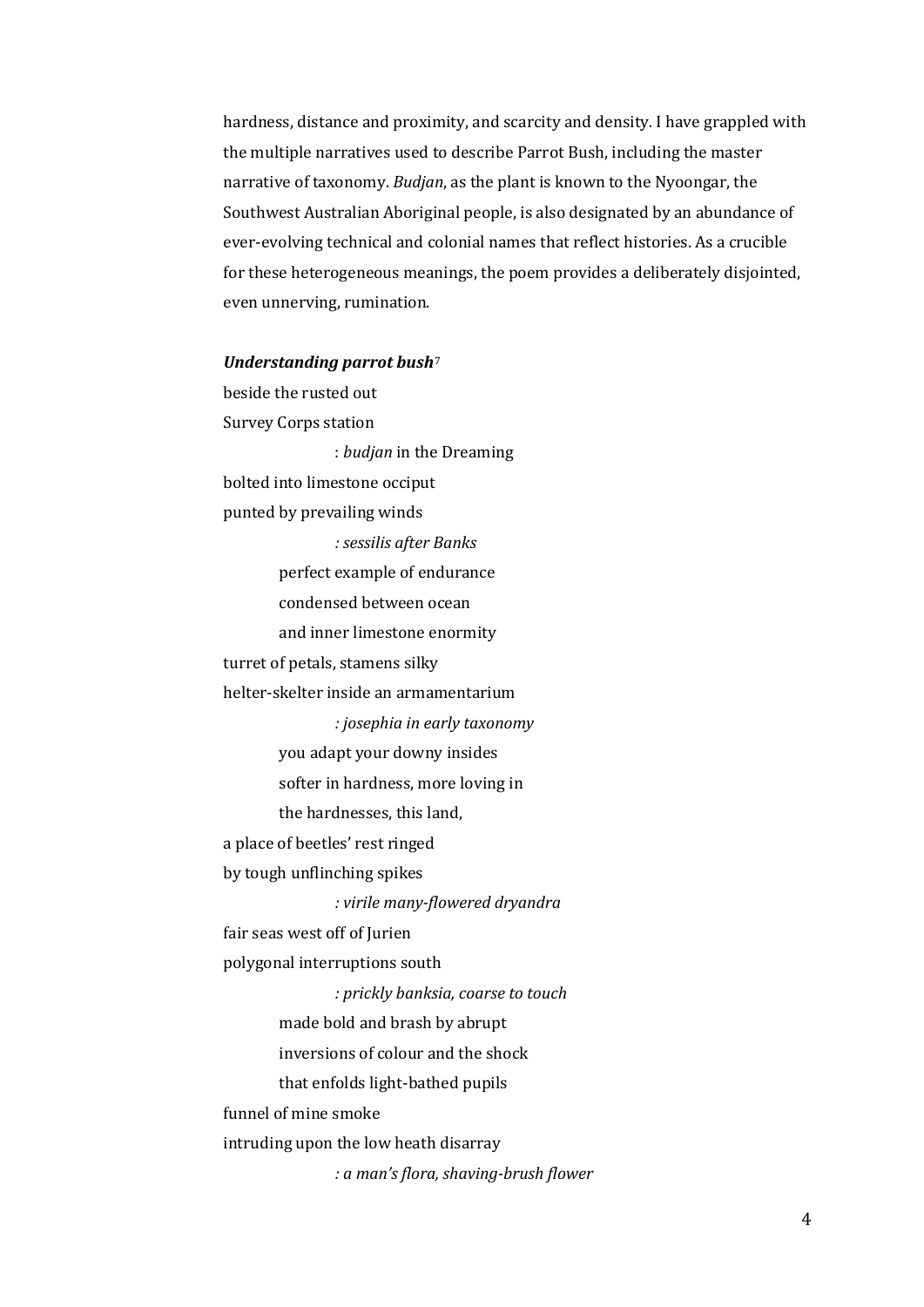hardness, distance and proximity, and scarcity and density. I have grappled with the multiple narratives used to describe Parrot Bush, including the master narrative of taxonomy. *Budjan*, as the plant is known to the Nyoongar, the Southwest Australian Aboriginal people, is also designated by an abundance of ever-evolving technical and colonial names that reflect histories. As a crucible for these heterogeneous meanings, the poem provides a deliberately disjointed, even unnerving, rumination.

#### *Understanding parrot bush*[7](#page-21-2)

beside the rusted out Survey Corps station : *budjan* in the Dreaming bolted into limestone occiput punted by prevailing winds *: sessilis after Banks* perfect example of endurance condensed between ocean and inner limestone enormity turret of petals, stamens silky helter-skelter inside an armamentarium *: josephia in early taxonomy* you adapt your downy insides softer in hardness, more loving in the hardnesses, this land, a place of beetles' rest ringed by tough unflinching spikes *: virile many-flowered dryandra* fair seas west off of Jurien polygonal interruptions south *: prickly banksia, coarse to touch* made bold and brash by abrupt inversions of colour and the shock that enfolds light-bathed pupils funnel of mine smoke intruding upon the low heath disarray *: a man's flora, shaving-brush flower*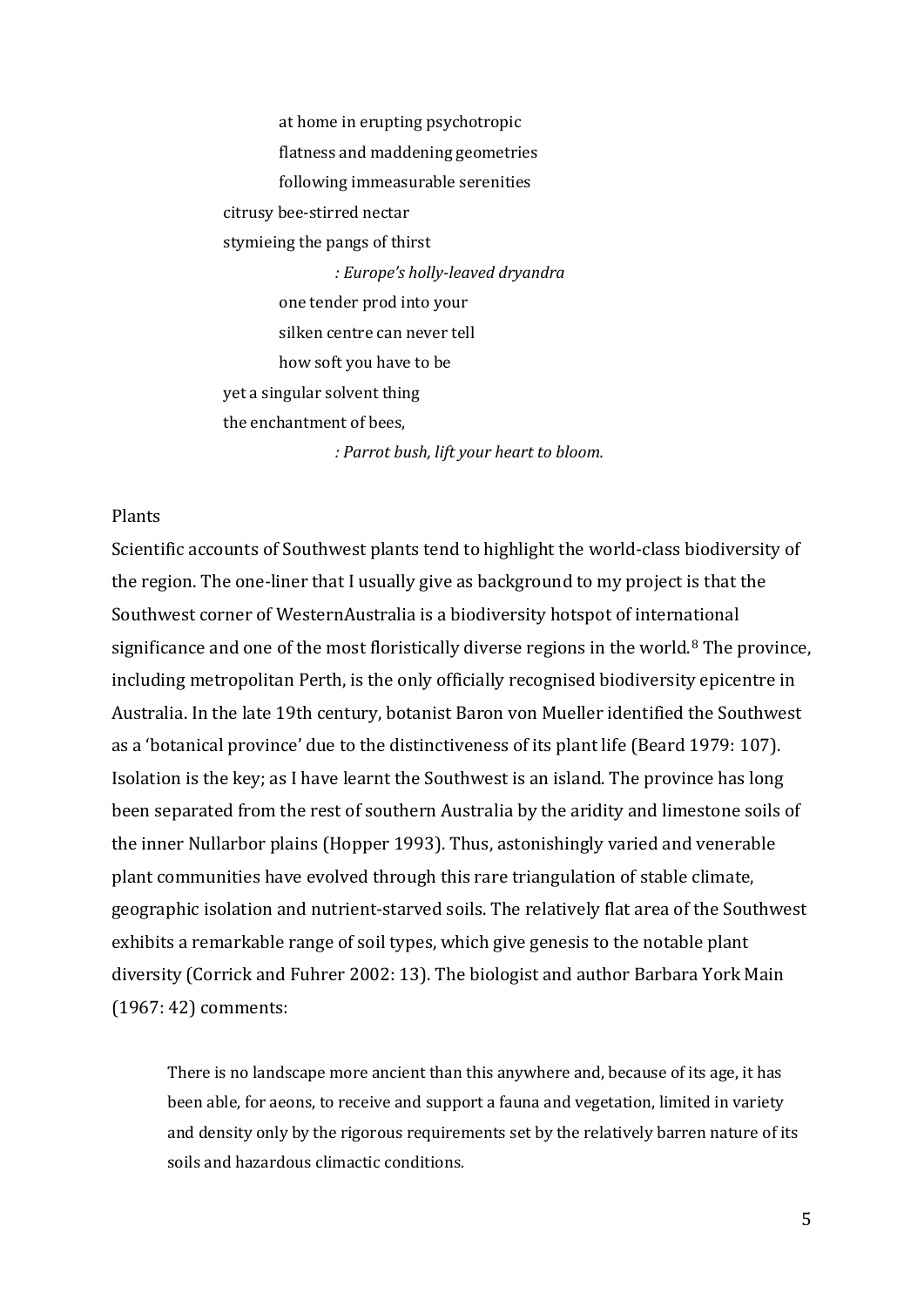at home in erupting psychotropic flatness and maddening geometries following immeasurable serenities citrusy bee-stirred nectar stymieing the pangs of thirst *: Europe's holly-leaved dryandra* one tender prod into your silken centre can never tell how soft you have to be yet a singular solvent thing the enchantment of bees, *: Parrot bush, lift your heart to bloom.*

## Plants

Scientific accounts of Southwest plants tend to highlight the world-class biodiversity of the region. The one-liner that I usually give as background to my project is that the Southwest corner of WesternAustralia is a biodiversity hotspot of international significance and one of the most floristically diverse regions in the world.<sup>[8](#page-21-3)</sup> The province, including metropolitan Perth, is the only officially recognised biodiversity epicentre in Australia. In the late 19th century, botanist Baron von Mueller identified the Southwest as a 'botanical province' due to the distinctiveness of its plant life (Beard 1979: 107). Isolation is the key; as I have learnt the Southwest is an island. The province has long been separated from the rest of southern Australia by the aridity and limestone soils of the inner Nullarbor plains (Hopper 1993). Thus, astonishingly varied and venerable plant communities have evolved through this rare triangulation of stable climate, geographic isolation and nutrient-starved soils. The relatively flat area of the Southwest exhibits a remarkable range of soil types, which give genesis to the notable plant diversity (Corrick and Fuhrer 2002: 13). The biologist and author Barbara York Main (1967: 42) comments:

There is no landscape more ancient than this anywhere and, because of its age, it has been able, for aeons, to receive and support a fauna and vegetation, limited in variety and density only by the rigorous requirements set by the relatively barren nature of its soils and hazardous climactic conditions.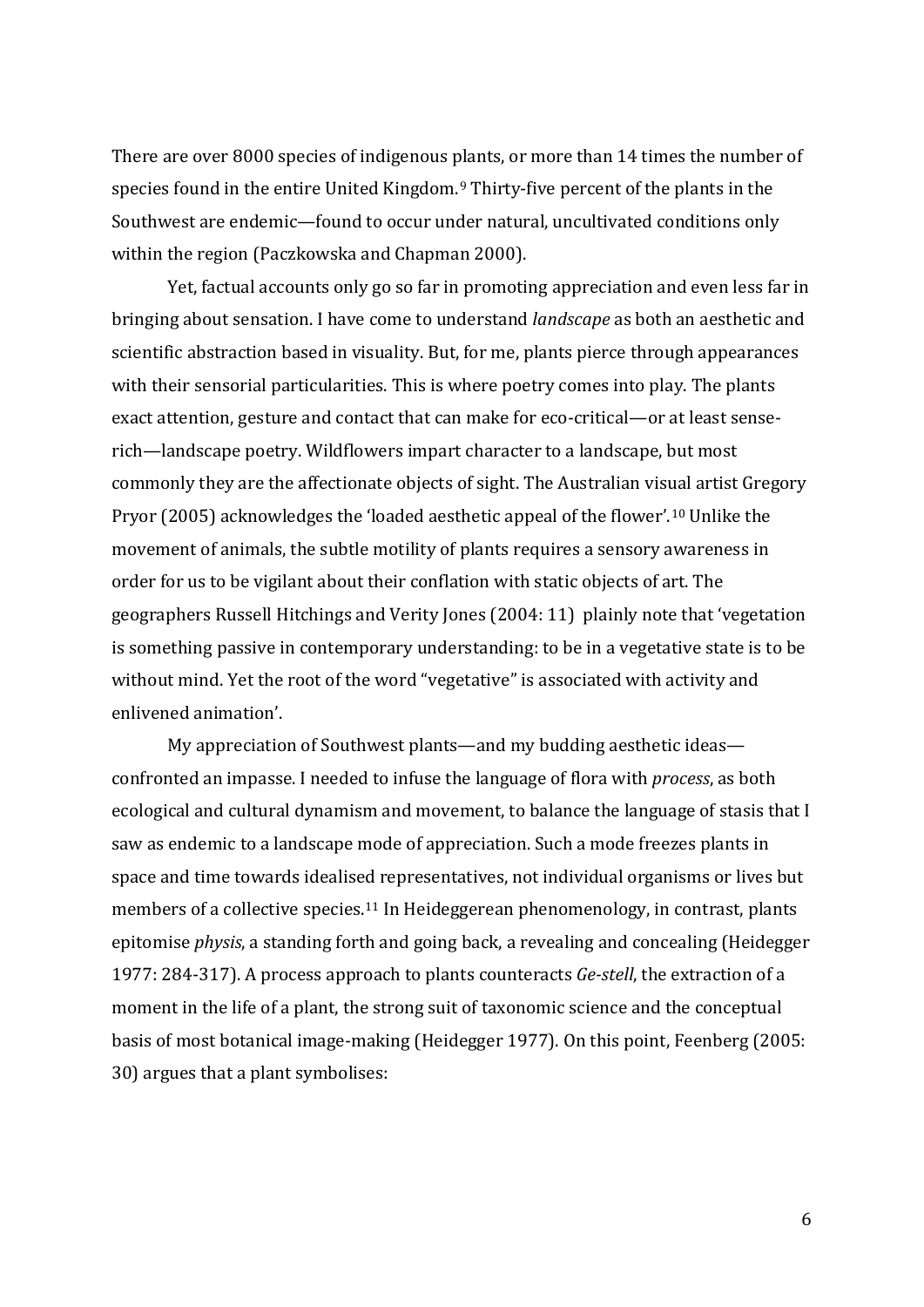There are over 8000 species of indigenous plants, or more than 14 times the number of species found in the entire United Kingdom.[9](#page-21-4) Thirty-five percent of the plants in the Southwest are endemic—found to occur under natural, uncultivated conditions only within the region (Paczkowska and Chapman 2000).

Yet, factual accounts only go so far in promoting appreciation and even less far in bringing about sensation. I have come to understand *landscape* as both an aesthetic and scientific abstraction based in visuality. But, for me, plants pierce through appearances with their sensorial particularities. This is where poetry comes into play. The plants exact attention, gesture and contact that can make for eco-critical—or at least senserich—landscape poetry. Wildflowers impart character to a landscape, but most commonly they are the affectionate objects of sight. The Australian vis[ua](#page-21-5)l artist Gregory Pryor (2005) acknowledges the 'loaded aesthetic appeal of the flower'. 10 Unlike the movement of animals, the subtle motility of plants requires a sensory awareness in order for us to be vigilant about their conflation with static objects of art. The geographers Russell Hitchings and Verity Jones (2004: 11) plainly note that 'vegetation is something passive in contemporary understanding: to be in a vegetative state is to be without mind. Yet the root of the word "vegetative" is associated with activity and enlivened animation'.

My appreciation of Southwest plants—and my budding aesthetic ideas confronted an impasse. I needed to infuse the language of flora with *process*, as both ecological and cultural dynamism and movement, to balance the language of stasis that I saw as endemic to a landscape mode of appreciation. Such a mode freezes plants in space and time towards idealise[d r](#page-21-6)epresentatives, not individual organisms or lives but members of a collective species. <sup>11</sup> In Heideggerean phenomenology, in contrast, plants epitomise *physis*, a standing forth and going back, a revealing and concealing (Heidegger 1977: 284-317). A process approach to plants counteracts *Ge-stell*, the extraction of a moment in the life of a plant, the strong suit of taxonomic science and the conceptual basis of most botanical image-making (Heidegger 1977). On this point, Feenberg (2005: 30) argues that a plant symbolises: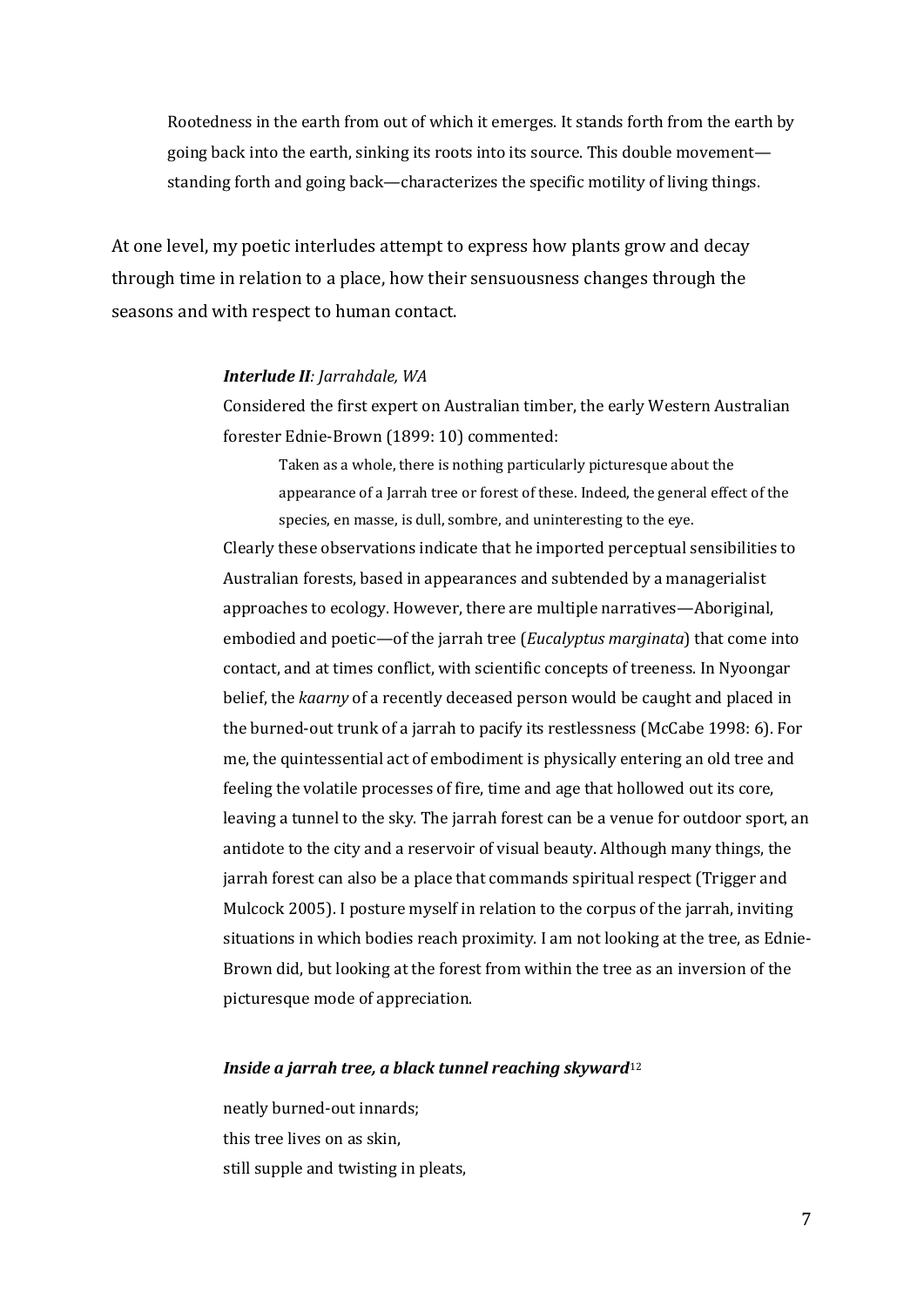Rootedness in the earth from out of which it emerges. It stands forth from the earth by going back into the earth, sinking its roots into its source. This double movement standing forth and going back—characterizes the specific motility of living things.

At one level, my poetic interludes attempt to express how plants grow and decay through time in relation to a place, how their sensuousness changes through the seasons and with respect to human contact.

#### *Interlude II: Jarrahdale, WA*

Considered the first expert on Australian timber, the early Western Australian forester Ednie-Brown (1899: 10) commented:

Taken as a whole, there is nothing particularly picturesque about the appearance of a Jarrah tree or forest of these. Indeed, the general effect of the species, en masse, is dull, sombre, and uninteresting to the eye.

Clearly these observations indicate that he imported perceptual sensibilities to Australian forests, based in appearances and subtended by a managerialist approaches to ecology. However, there are multiple narratives—Aboriginal, embodied and poetic—of the jarrah tree (*Eucalyptus marginata*) that come into contact, and at times conflict, with scientific concepts of treeness. In Nyoongar belief, the *kaarny* of a recently deceased person would be caught and placed in the burned-out trunk of a jarrah to pacify its restlessness (McCabe 1998: 6). For me, the quintessential act of embodiment is physically entering an old tree and feeling the volatile processes of fire, time and age that hollowed out its core, leaving a tunnel to the sky. The jarrah forest can be a venue for outdoor sport, an antidote to the city and a reservoir of visual beauty. Although many things, the jarrah forest can also be a place that commands spiritual respect (Trigger and Mulcock 2005). I posture myself in relation to the corpus of the jarrah, inviting situations in which bodies reach proximity. I am not looking at the tree, as Ednie-Brown did, but looking at the forest from within the tree as an inversion of the picturesque mode of appreciation.

#### *Inside a jarrah tree, a black tunnel reaching skyward*[12](#page-21-7)

neatly burned-out innards; this tree lives on as skin, still supple and twisting in pleats,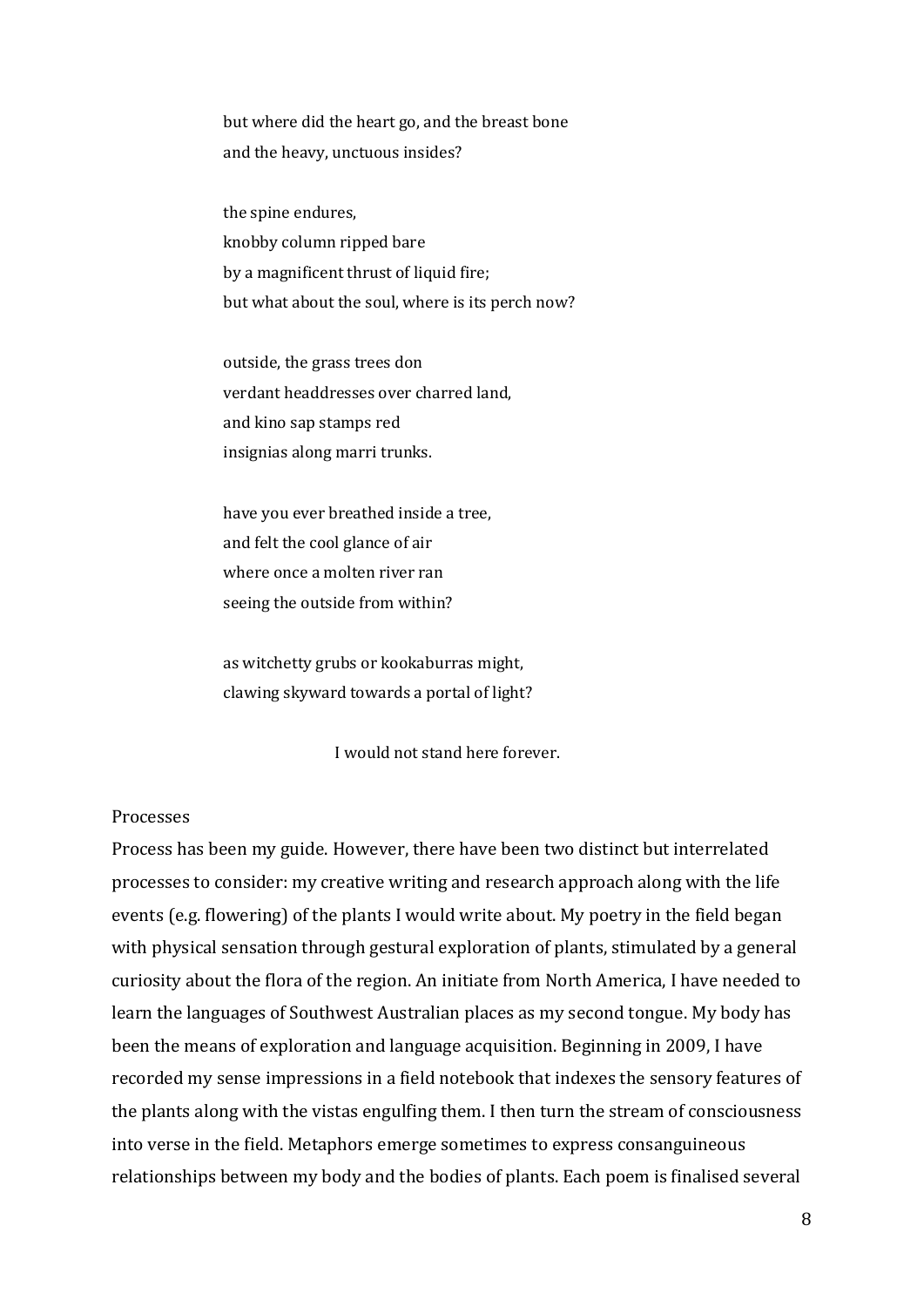but where did the heart go, and the breast bone and the heavy, unctuous insides?

the spine endures, knobby column ripped bare by a magnificent thrust of liquid fire; but what about the soul, where is its perch now?

outside, the grass trees don verdant headdresses over charred land, and kino sap stamps red insignias along marri trunks.

have you ever breathed inside a tree, and felt the cool glance of air where once a molten river ran seeing the outside from within?

as witchetty grubs or kookaburras might, clawing skyward towards a portal of light?

I would not stand here forever.

## Processes

Process has been my guide. However, there have been two distinct but interrelated processes to consider: my creative writing and research approach along with the life events (e.g. flowering) of the plants I would write about. My poetry in the field began with physical sensation through gestural exploration of plants, stimulated by a general curiosity about the flora of the region. An initiate from North America, I have needed to learn the languages of Southwest Australian places as my second tongue. My body has been the means of exploration and language acquisition. Beginning in 2009, I have recorded my sense impressions in a field notebook that indexes the sensory features of the plants along with the vistas engulfing them. I then turn the stream of consciousness into verse in the field. Metaphors emerge sometimes to express consanguineous relationships between my body and the bodies of plants. Each poem is finalised several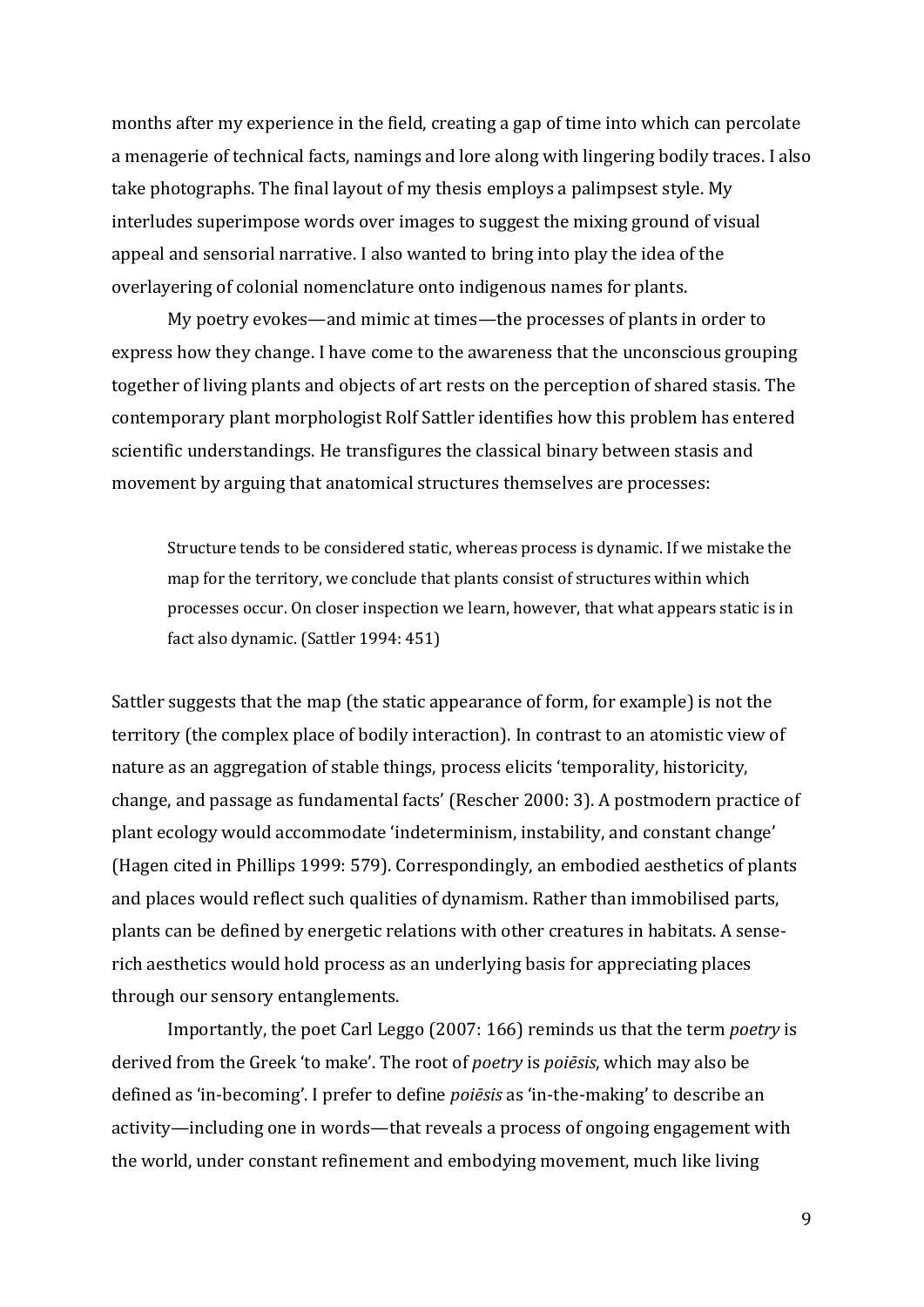months after my experience in the field, creating a gap of time into which can percolate a menagerie of technical facts, namings and lore along with lingering bodily traces. I also take photographs. The final layout of my thesis employs a palimpsest style. My interludes superimpose words over images to suggest the mixing ground of visual appeal and sensorial narrative. I also wanted to bring into play the idea of the overlayering of colonial nomenclature onto indigenous names for plants.

My poetry evokes—and mimic at times—the processes of plants in order to express how they change. I have come to the awareness that the unconscious grouping together of living plants and objects of art rests on the perception of shared stasis. The contemporary plant morphologist Rolf Sattler identifies how this problem has entered scientific understandings. He transfigures the classical binary between stasis and movement by arguing that anatomical structures themselves are processes:

Structure tends to be considered static, whereas process is dynamic. If we mistake the map for the territory, we conclude that plants consist of structures within which processes occur. On closer inspection we learn, however, that what appears static is in fact also dynamic. (Sattler 1994: 451)

Sattler suggests that the map (the static appearance of form, for example) is not the territory (the complex place of bodily interaction). In contrast to an atomistic view of nature as an aggregation of stable things, process elicits 'temporality, historicity, change, and passage as fundamental facts' (Rescher 2000: 3). A postmodern practice of plant ecology would accommodate 'indeterminism, instability, and constant change' (Hagen cited in Phillips 1999: 579). Correspondingly, an embodied aesthetics of plants and places would reflect such qualities of dynamism. Rather than immobilised parts, plants can be defined by energetic relations with other creatures in habitats. A senserich aesthetics would hold process as an underlying basis for appreciating places through our sensory entanglements.

Importantly, the poet Carl Leggo (2007: 166) reminds us that the term *poetry* is derived from the Greek 'to make'. The root of *poetry* is *poiēsis*, which may also be defined as 'in-becoming'. I prefer to define *poiēsis* as 'in-the-making' to describe an activity—including one in words—that reveals a process of ongoing engagement with the world, under constant refinement and embodying movement, much like living

9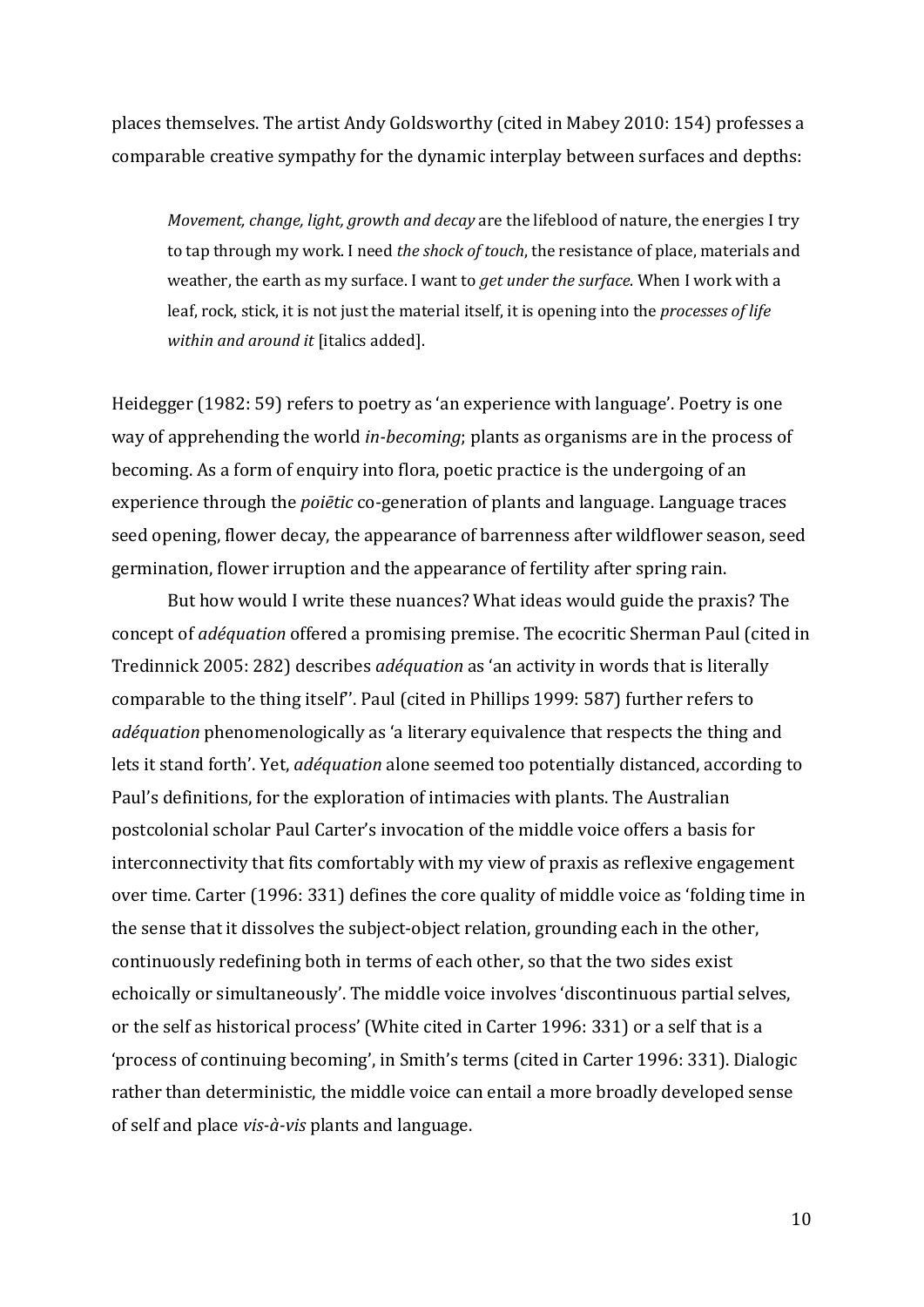places themselves. The artist Andy Goldsworthy (cited in Mabey 2010: 154) professes a comparable creative sympathy for the dynamic interplay between surfaces and depths:

*Movement, change, light, growth and decay* are the lifeblood of nature, the energies I try to tap through my work. I need *the shock of touch*, the resistance of place, materials and weather, the earth as my surface. I want to *get under the surface*. When I work with a leaf, rock, stick, it is not just the material itself, it is opening into the *processes of life within and around it* [italics added].

Heidegger (1982: 59) refers to poetry as 'an experience with language'. Poetry is one way of apprehending the world *in-becoming*; plants as organisms are in the process of becoming. As a form of enquiry into flora, poetic practice is the undergoing of an experience through the *poiētic* co-generation of plants and language. Language traces seed opening, flower decay, the appearance of barrenness after wildflower season, seed germination, flower irruption and the appearance of fertility after spring rain.

But how would I write these nuances? What ideas would guide the praxis? The concept of *adéquation* offered a promising premise. The ecocritic Sherman Paul (cited in Tredinnick 2005: 282) describes *adéquation* as 'an activity in words that is literally comparable to the thing itself''. Paul (cited in Phillips 1999: 587) further refers to *adéquation* phenomenologically as 'a literary equivalence that respects the thing and lets it stand forth'. Yet, *adéquation* alone seemed too potentially distanced, according to Paul's definitions, for the exploration of intimacies with plants. The Australian postcolonial scholar Paul Carter's invocation of the middle voice offers a basis for interconnectivity that fits comfortably with my view of praxis as reflexive engagement over time. Carter (1996: 331) defines the core quality of middle voice as 'folding time in the sense that it dissolves the subject-object relation, grounding each in the other, continuously redefining both in terms of each other, so that the two sides exist echoically or simultaneously'. The middle voice involves 'discontinuous partial selves, or the self as historical process' (White cited in Carter 1996: 331) or a self that is a 'process of continuing becoming', in Smith's terms (cited in Carter 1996: 331). Dialogic rather than deterministic, the middle voice can entail a more broadly developed sense of self and place *vis-à-vis* plants and language.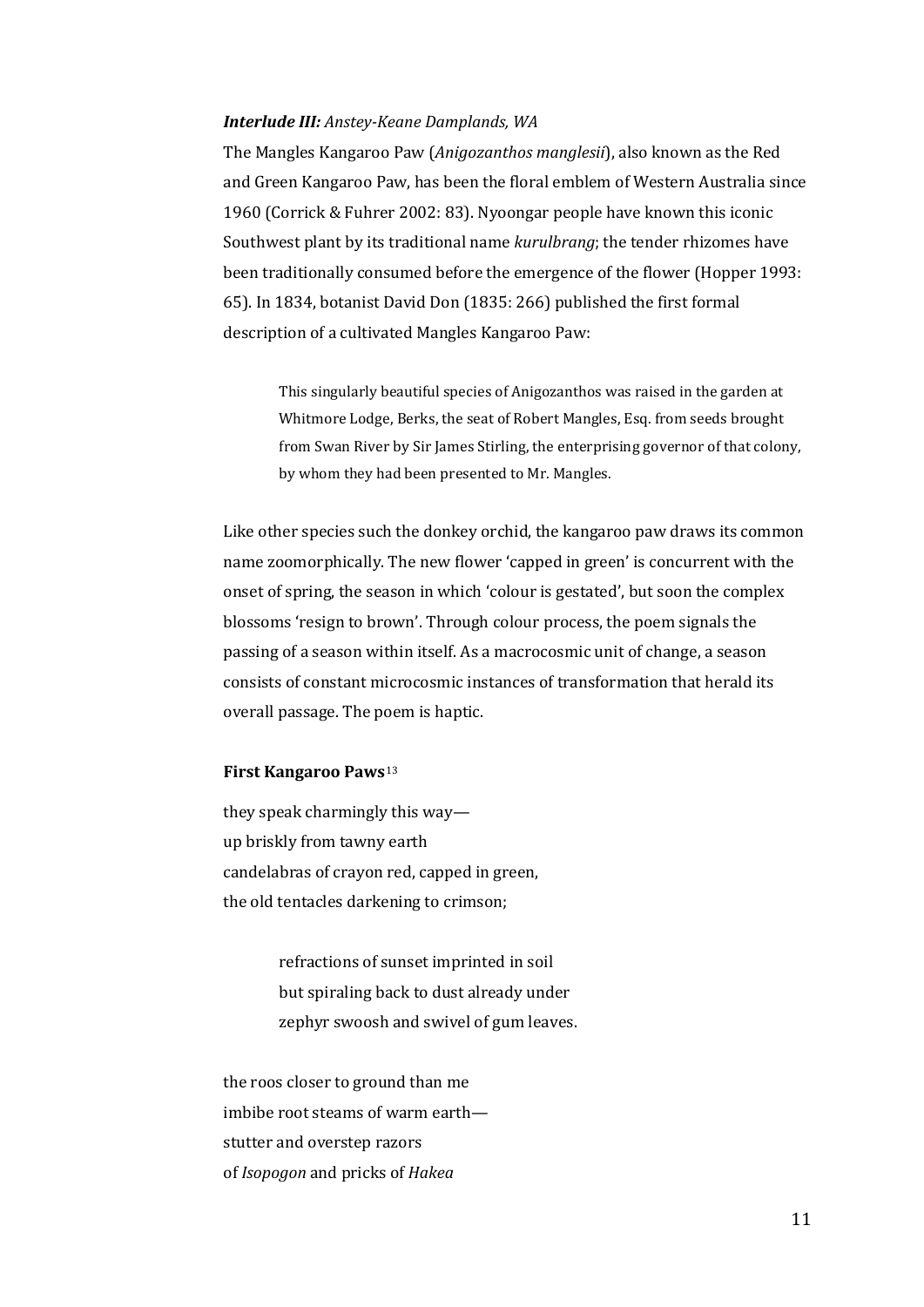#### *Interlude III: Anstey-Keane Damplands, WA*

The Mangles Kangaroo Paw (*Anigozanthos manglesii*), also known as the Red and Green Kangaroo Paw, has been the floral emblem of Western Australia since 1960 (Corrick & Fuhrer 2002: 83). Nyoongar people have known this iconic Southwest plant by its traditional name *kurulbrang*; the tender rhizomes have been traditionally consumed before the emergence of the flower (Hopper 1993: 65). In 1834, botanist David Don (1835: 266) published the first formal description of a cultivated Mangles Kangaroo Paw:

This singularly beautiful species of Anigozanthos was raised in the garden at Whitmore Lodge, Berks, the seat of Robert Mangles, Esq. from seeds brought from Swan River by Sir James Stirling, the enterprising governor of that colony, by whom they had been presented to Mr. Mangles.

Like other species such the donkey orchid, the kangaroo paw draws its common name zoomorphically. The new flower 'capped in green' is concurrent with the onset of spring, the season in which 'colour is gestated', but soon the complex blossoms 'resign to brown'. Through colour process, the poem signals the passing of a season within itself. As a macrocosmic unit of change, a season consists of constant microcosmic instances of transformation that herald its overall passage. The poem is haptic.

## **First Kangaroo Paws**[13](#page-21-8)

they speak charmingly this way up briskly from tawny earth candelabras of crayon red, capped in green, the old tentacles darkening to crimson;

> refractions of sunset imprinted in soil but spiraling back to dust already under zephyr swoosh and swivel of gum leaves.

the roos closer to ground than me imbibe root steams of warm earth stutter and overstep razors of *Isopogon* and pricks of *Hakea*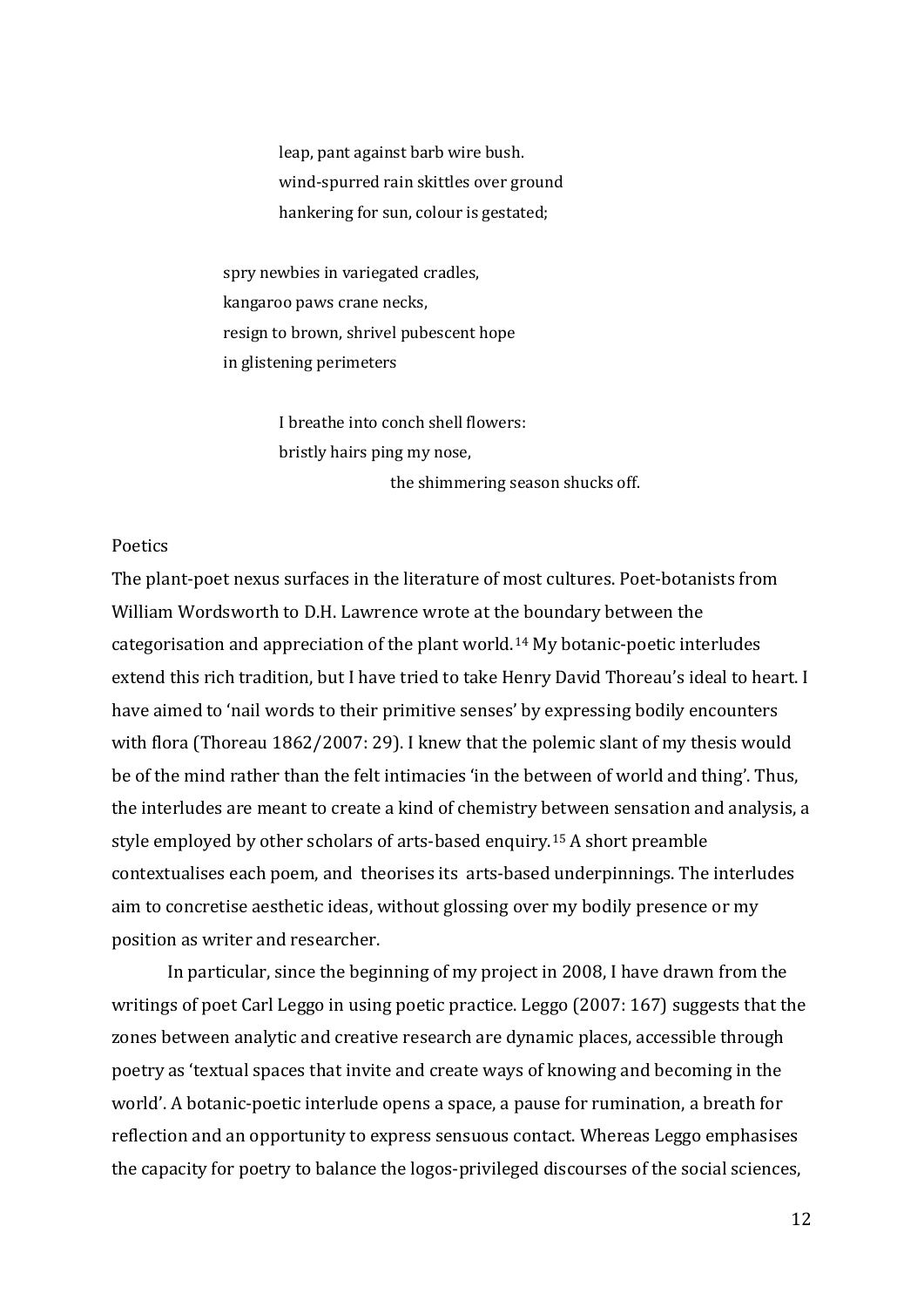leap, pant against barb wire bush. wind-spurred rain skittles over ground hankering for sun, colour is gestated;

spry newbies in variegated cradles, kangaroo paws crane necks, resign to brown, shrivel pubescent hope in glistening perimeters

> I breathe into conch shell flowers: bristly hairs ping my nose, the shimmering season shucks off.

# Poetics

The plant-poet nexus surfaces in the literature of most cultures. Poet-botanists from William Wordsworth to D.H. Lawrence wrote at the boundary between the categorisation and appreciation of the plant world.[14](#page-21-9) My botanic-poetic interludes extend this rich tradition, but I have tried to take Henry David Thoreau's ideal to heart. I have aimed to 'nail words to their primitive senses' by expressing bodily encounters with flora (Thoreau 1862/2007: 29). I knew that the polemic slant of my thesis would be of the mind rather than the felt intimacies 'in the between of world and thing'. Thus, the interludes are meant to create a kind of chemistry between sensation and analysis, a style employed by other scholars of arts-based enquiry.[15](#page-21-10) A short preamble contextualises each poem, and theorises its arts-based underpinnings. The interludes aim to concretise aesthetic ideas, without glossing over my bodily presence or my position as writer and researcher.

In particular, since the beginning of my project in 2008, I have drawn from the writings of poet Carl Leggo in using poetic practice. Leggo (2007: 167) suggests that the zones between analytic and creative research are dynamic places, accessible through poetry as 'textual spaces that invite and create ways of knowing and becoming in the world'. A botanic-poetic interlude opens a space, a pause for rumination, a breath for reflection and an opportunity to express sensuous contact. Whereas Leggo emphasises the capacity for poetry to balance the logos-privileged discourses of the social sciences,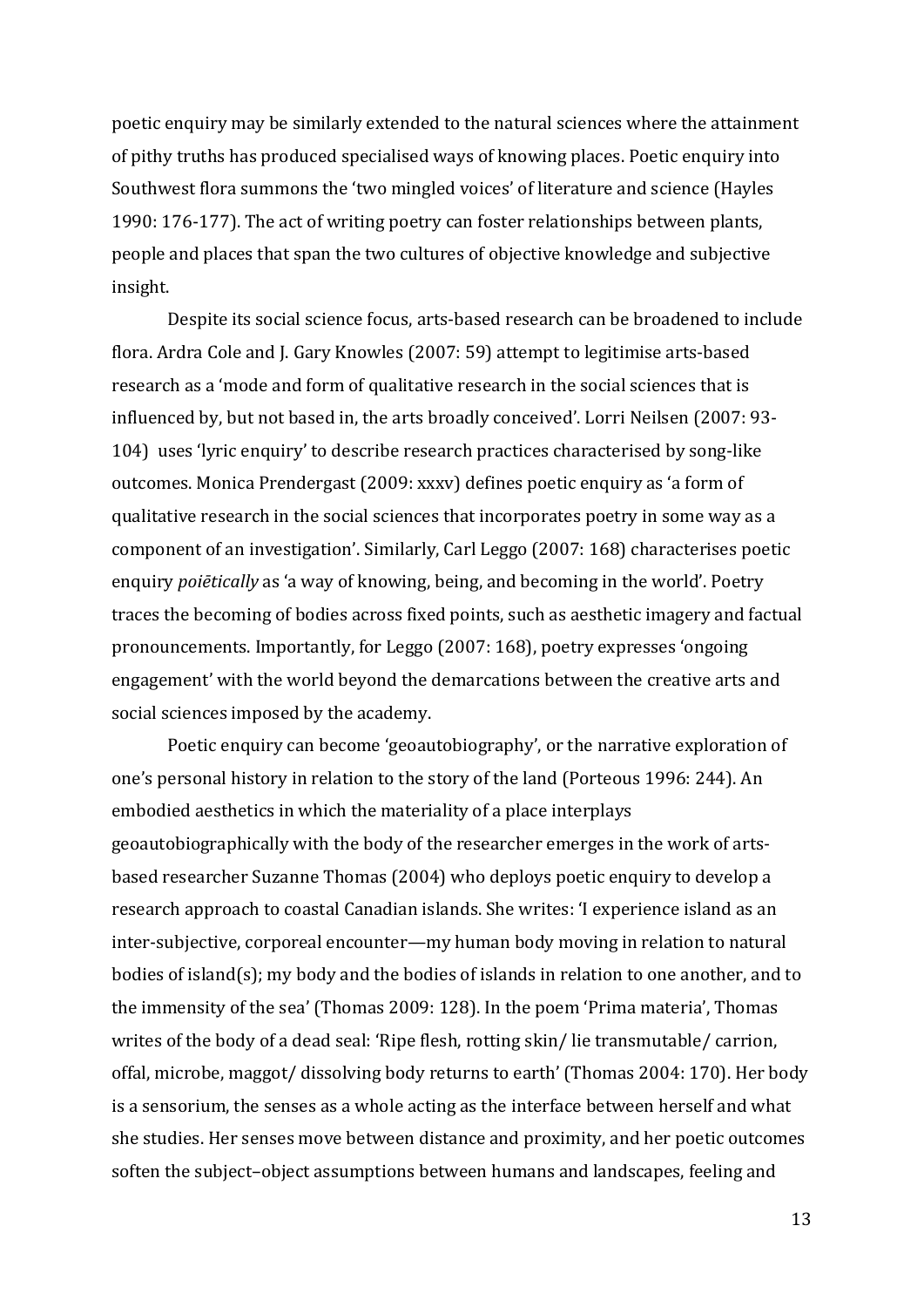poetic enquiry may be similarly extended to the natural sciences where the attainment of pithy truths has produced specialised ways of knowing places. Poetic enquiry into Southwest flora summons the 'two mingled voices' of literature and science (Hayles 1990: 176-177). The act of writing poetry can foster relationships between plants, people and places that span the two cultures of objective knowledge and subjective insight.

Despite its social science focus, arts-based research can be broadened to include flora. Ardra Cole and J. Gary Knowles (2007: 59) attempt to legitimise arts-based research as a 'mode and form of qualitative research in the social sciences that is influenced by, but not based in, the arts broadly conceived'. Lorri Neilsen (2007: 93- 104) uses 'lyric enquiry' to describe research practices characterised by song-like outcomes. Monica Prendergast (2009: xxxv) defines poetic enquiry as 'a form of qualitative research in the social sciences that incorporates poetry in some way as a component of an investigation'. Similarly, Carl Leggo (2007: 168) characterises poetic enquiry *poiētically* as 'a way of knowing, being, and becoming in the world'. Poetry traces the becoming of bodies across fixed points, such as aesthetic imagery and factual pronouncements. Importantly, for Leggo (2007: 168), poetry expresses 'ongoing engagement' with the world beyond the demarcations between the creative arts and social sciences imposed by the academy.

Poetic enquiry can become 'geoautobiography', or the narrative exploration of one's personal history in relation to the story of the land (Porteous 1996: 244). An embodied aesthetics in which the materiality of a place interplays geoautobiographically with the body of the researcher emerges in the work of artsbased researcher Suzanne Thomas (2004) who deploys poetic enquiry to develop a research approach to coastal Canadian islands. She writes: 'I experience island as an inter-subjective, corporeal encounter—my human body moving in relation to natural bodies of island(s); my body and the bodies of islands in relation to one another, and to the immensity of the sea' (Thomas 2009: 128). In the poem 'Prima materia', Thomas writes of the body of a dead seal: 'Ripe flesh, rotting skin/ lie transmutable/ carrion, offal, microbe, maggot/ dissolving body returns to earth' (Thomas 2004: 170). Her body is a sensorium, the senses as a whole acting as the interface between herself and what she studies. Her senses move between distance and proximity, and her poetic outcomes soften the subject–object assumptions between humans and landscapes, feeling and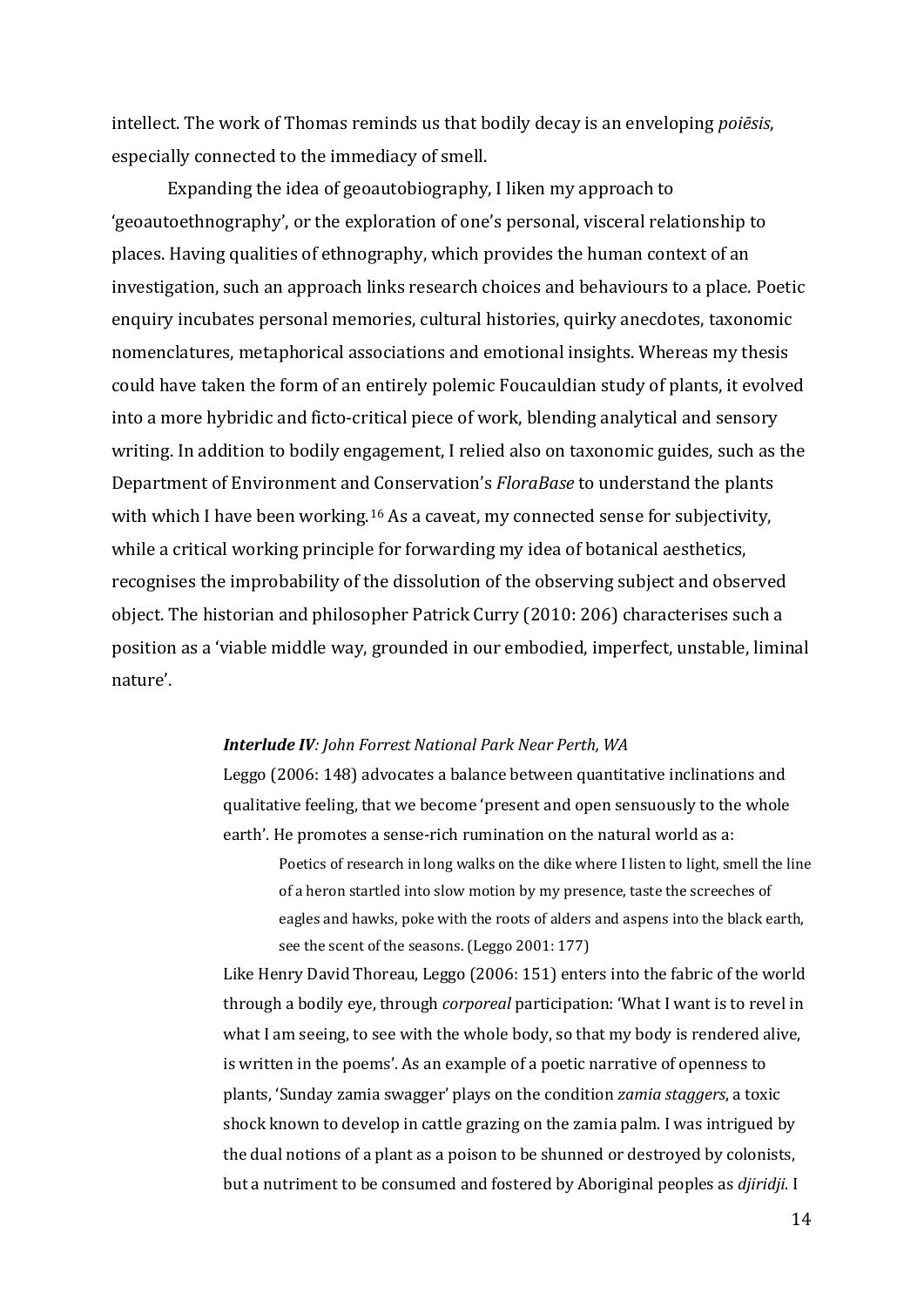intellect. The work of Thomas reminds us that bodily decay is an enveloping *poiēsis*, especially connected to the immediacy of smell.

Expanding the idea of geoautobiography, I liken my approach to 'geoautoethnography', or the exploration of one's personal, visceral relationship to places. Having qualities of ethnography, which provides the human context of an investigation, such an approach links research choices and behaviours to a place. Poetic enquiry incubates personal memories, cultural histories, quirky anecdotes, taxonomic nomenclatures, metaphorical associations and emotional insights. Whereas my thesis could have taken the form of an entirely polemic Foucauldian study of plants, it evolved into a more hybridic and ficto-critical piece of work, blending analytical and sensory writing. In addition to bodily engagement, I relied also on taxonomic guides, such as the Department of Environment and Conservation's *FloraBase* to understand the plants with which I have been working.<sup>[16](#page-21-11)</sup> As a caveat, my connected sense for subjectivity, while a critical working principle for forwarding my idea of botanical aesthetics, recognises the improbability of the dissolution of the observing subject and observed object. The historian and philosopher Patrick Curry (2010: 206) characterises such a position as a 'viable middle way, grounded in our embodied, imperfect, unstable, liminal nature'.

#### *Interlude IV: John Forrest National Park Near Perth, WA*

Leggo (2006: 148) advocates a balance between quantitative inclinations and qualitative feeling, that we become 'present and open sensuously to the whole earth'. He promotes a sense-rich rumination on the natural world as a:

Poetics of research in long walks on the dike where I listen to light, smell the line of a heron startled into slow motion by my presence, taste the screeches of eagles and hawks, poke with the roots of alders and aspens into the black earth, see the scent of the seasons. (Leggo 2001: 177)

Like Henry David Thoreau, Leggo (2006: 151) enters into the fabric of the world through a bodily eye, through *corporeal* participation: 'What I want is to revel in what I am seeing, to see with the whole body, so that my body is rendered alive, is written in the poems'. As an example of a poetic narrative of openness to plants, 'Sunday zamia swagger' plays on the condition *zamia staggers*, a toxic shock known to develop in cattle grazing on the zamia palm. I was intrigued by the dual notions of a plant as a poison to be shunned or destroyed by colonists, but a nutriment to be consumed and fostered by Aboriginal peoples as *djiridji*. I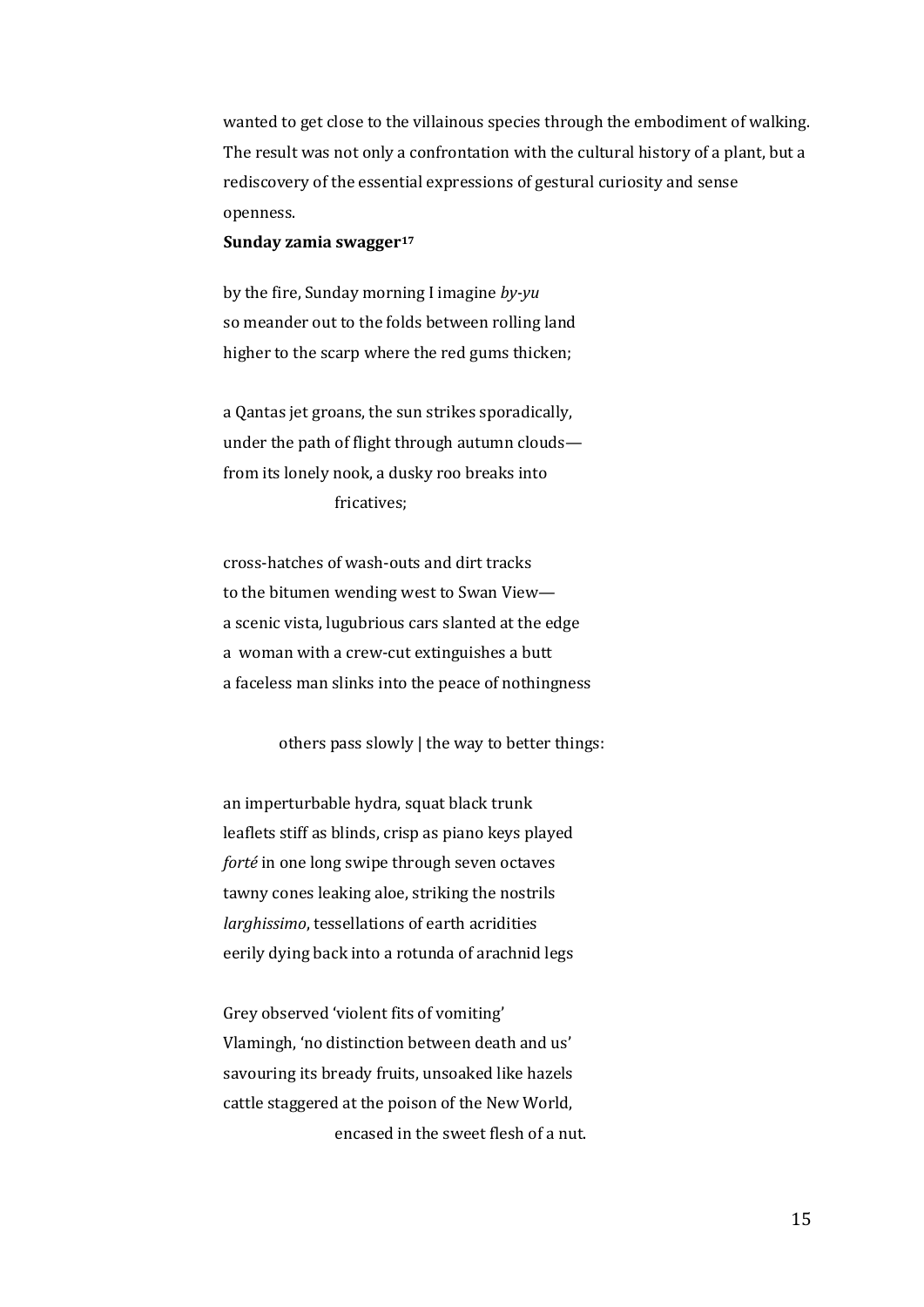wanted to get close to the villainous species through the embodiment of walking. The result was not only a confrontation with the cultural history of a plant, but a rediscovery of the essential expressions of gestural curiosity and sense openness.

#### **Sunday zamia swagger[17](#page-21-12)**

by the fire, Sunday morning I imagine *by-yu* so meander out to the folds between rolling land higher to the scarp where the red gums thicken;

a Qantas jet groans, the sun strikes sporadically, under the path of flight through autumn clouds from its lonely nook, a dusky roo breaks into fricatives;

cross-hatches of wash-outs and dirt tracks to the bitumen wending west to Swan View a scenic vista, lugubrious cars slanted at the edge a woman with a crew-cut extinguishes a butt a faceless man slinks into the peace of nothingness

others pass slowly | the way to better things:

an imperturbable hydra, squat black trunk leaflets stiff as blinds, crisp as piano keys played *forté* in one long swipe through seven octaves tawny cones leaking aloe, striking the nostrils *larghissimo*, tessellations of earth acridities eerily dying back into a rotunda of arachnid legs

Grey observed 'violent fits of vomiting' Vlamingh, 'no distinction between death and us' savouring its bready fruits, unsoaked like hazels cattle staggered at the poison of the New World, encased in the sweet flesh of a nut.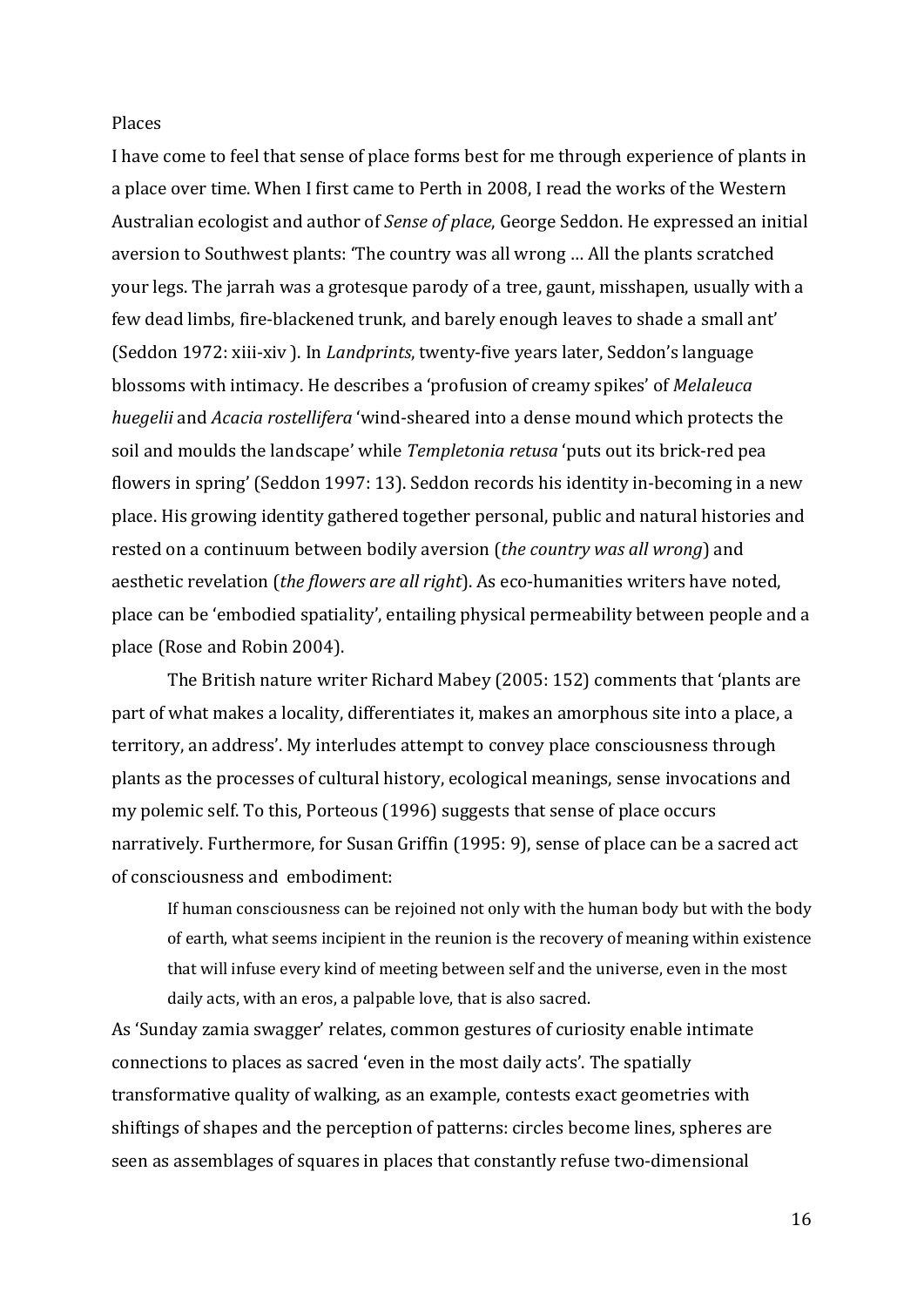## Places

I have come to feel that sense of place forms best for me through experience of plants in a place over time. When I first came to Perth in 2008, I read the works of the Western Australian ecologist and author of *Sense of place*, George Seddon. He expressed an initial aversion to Southwest plants: 'The country was all wrong … All the plants scratched your legs. The jarrah was a grotesque parody of a tree, gaunt, misshapen, usually with a few dead limbs, fire-blackened trunk, and barely enough leaves to shade a small ant' (Seddon 1972: xiii-xiv ). In *Landprints*, twenty-five years later, Seddon's language blossoms with intimacy. He describes a 'profusion of creamy spikes' of *Melaleuca huegelii* and *Acacia rostellifera* 'wind-sheared into a dense mound which protects the soil and moulds the landscape' while *Templetonia retusa* 'puts out its brick-red pea flowers in spring' (Seddon 1997: 13). Seddon records his identity in-becoming in a new place. His growing identity gathered together personal, public and natural histories and rested on a continuum between bodily aversion (*the country was all wrong*) and aesthetic revelation (*the flowers are all right*). As eco-humanities writers have noted, place can be 'embodied spatiality', entailing physical permeability between people and a place (Rose and Robin 2004).

The British nature writer Richard Mabey (2005: 152) comments that 'plants are part of what makes a locality, differentiates it, makes an amorphous site into a place, a territory, an address'. My interludes attempt to convey place consciousness through plants as the processes of cultural history, ecological meanings, sense invocations and my polemic self. To this, Porteous (1996) suggests that sense of place occurs narratively. Furthermore, for Susan Griffin (1995: 9), sense of place can be a sacred act of consciousness and embodiment:

If human consciousness can be rejoined not only with the human body but with the body of earth, what seems incipient in the reunion is the recovery of meaning within existence that will infuse every kind of meeting between self and the universe, even in the most daily acts, with an eros, a palpable love, that is also sacred.

As 'Sunday zamia swagger' relates, common gestures of curiosity enable intimate connections to places as sacred 'even in the most daily acts'. The spatially transformative quality of walking, as an example, contests exact geometries with shiftings of shapes and the perception of patterns: circles become lines, spheres are seen as assemblages of squares in places that constantly refuse two-dimensional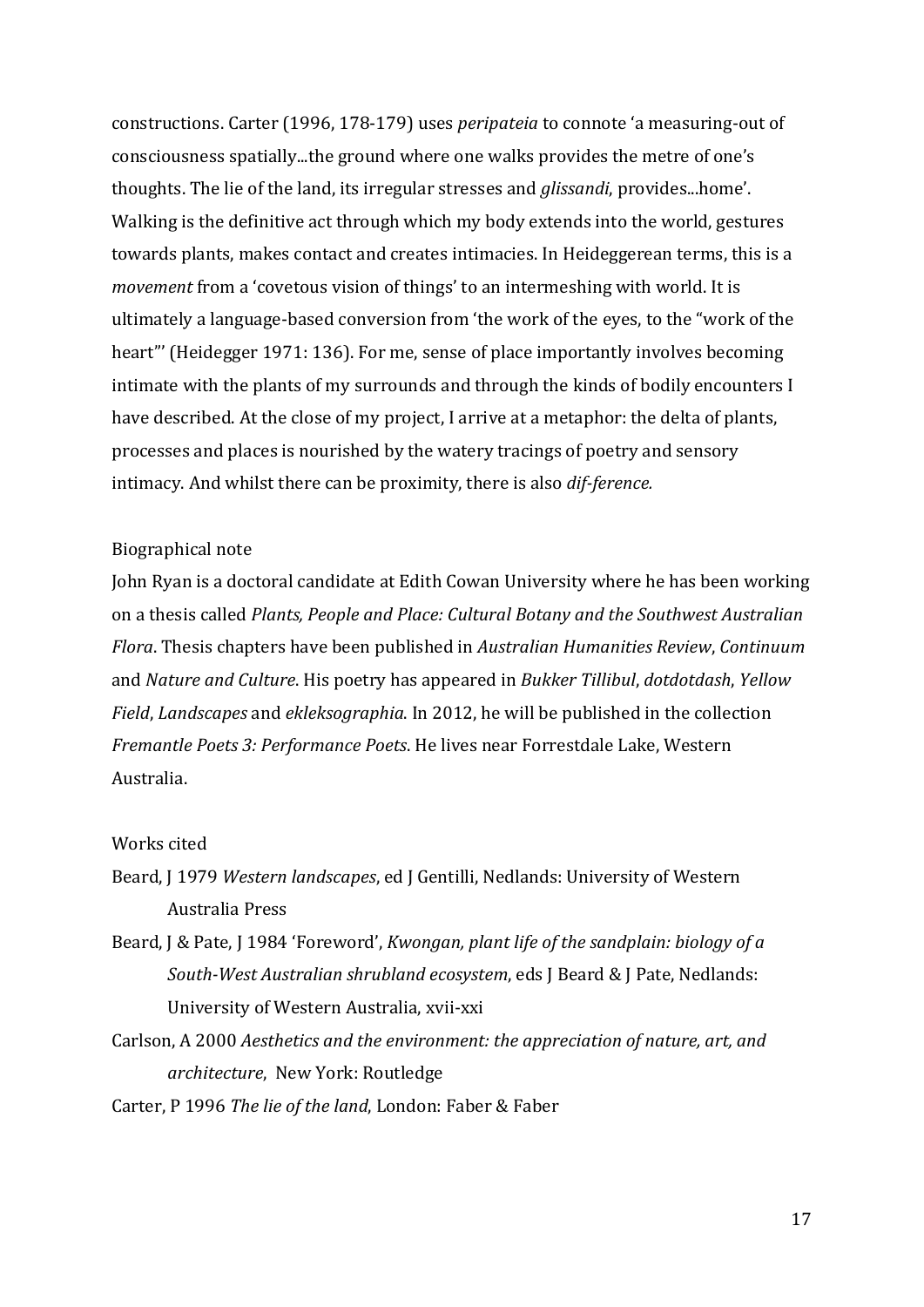constructions. Carter (1996, 178-179) uses *peripateia* to connote 'a measuring-out of consciousness spatially...the ground where one walks provides the metre of one's thoughts. The lie of the land, its irregular stresses and *glissandi*, provides...home'. Walking is the definitive act through which my body extends into the world, gestures towards plants, makes contact and creates intimacies. In Heideggerean terms, this is a *movement* from a 'covetous vision of things' to an intermeshing with world. It is ultimately a language-based conversion from 'the work of the eyes, to the "work of the heart"' (Heidegger 1971: 136). For me, sense of place importantly involves becoming intimate with the plants of my surrounds and through the kinds of bodily encounters I have described. At the close of my project, I arrive at a metaphor: the delta of plants, processes and places is nourished by the watery tracings of poetry and sensory intimacy. And whilst there can be proximity, there is also *dif-ference.*

# Biographical note

John Ryan is a doctoral candidate at Edith Cowan University where he has been working on a thesis called *Plants, People and Place: Cultural Botany and the Southwest Australian Flora*. Thesis chapters have been published in *Australian Humanities Review*, *Continuum* and *Nature and Culture*. His poetry has appeared in *Bukker Tillibul*, *dotdotdash*, *Yellow Field*, *Landscapes* and *ekleksographia*. In 2012, he will be published in the collection *Fremantle Poets 3: Performance Poets*. He lives near Forrestdale Lake, Western Australia.

# Works cited

- Beard, J 1979 *Western landscapes*, ed J Gentilli, Nedlands: University of Western Australia Press
- Beard, J & Pate, J 1984 'Foreword', *Kwongan, plant life of the sandplain: biology of a South-West Australian shrubland ecosystem*, eds J Beard & J Pate, Nedlands: University of Western Australia, xvii-xxi
- Carlson, A 2000 *Aesthetics and the environment: the appreciation of nature, art, and architecture*, New York: Routledge

Carter, P 1996 *The lie of the land*, London: Faber & Faber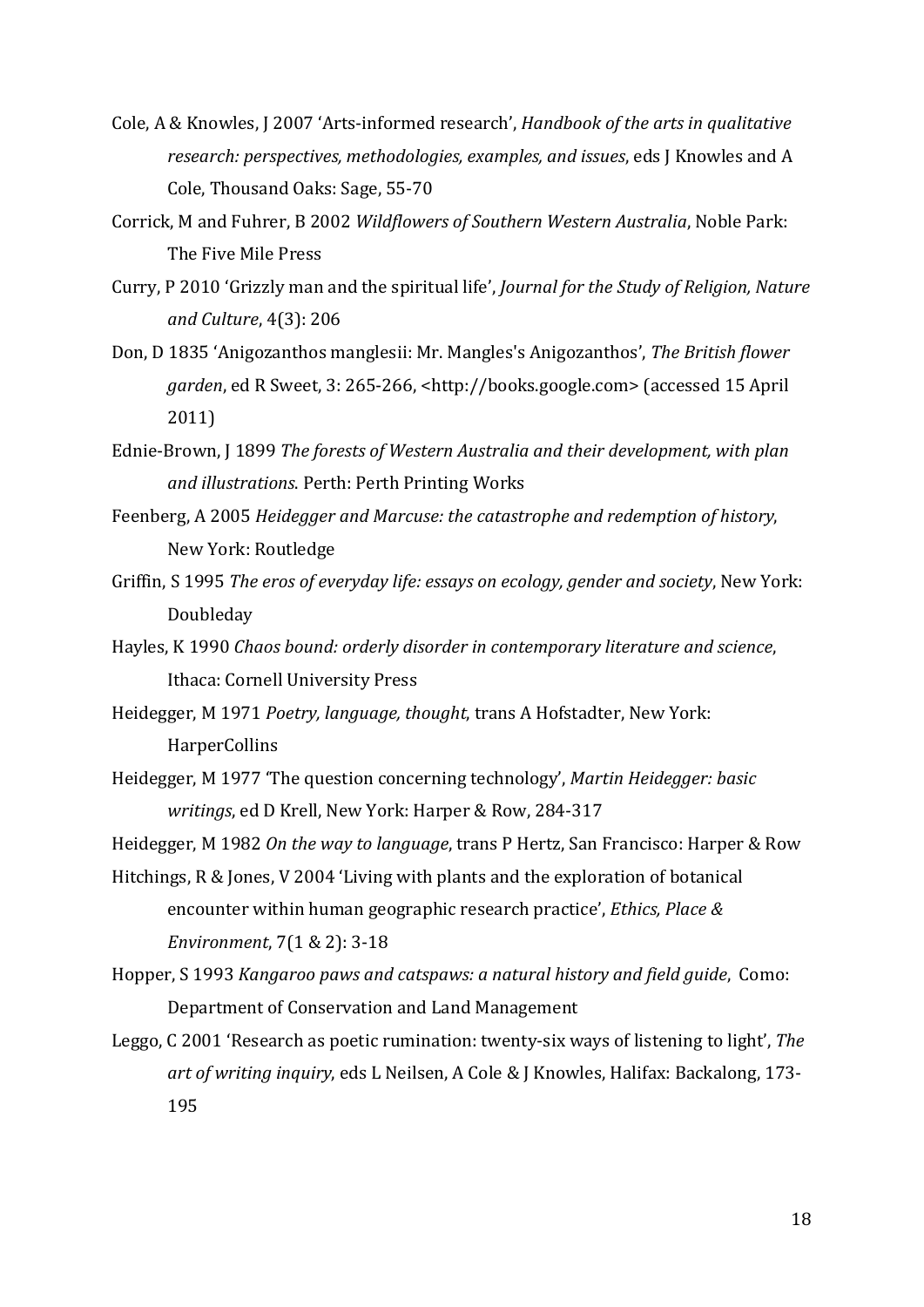- Cole, A & Knowles, J 2007 'Arts-informed research', *Handbook of the arts in qualitative research: perspectives, methodologies, examples, and issues*, eds J Knowles and A Cole, Thousand Oaks: Sage, 55-70
- Corrick, M and Fuhrer, B 2002 *Wildflowers of Southern Western Australia*, Noble Park: The Five Mile Press
- Curry, P 2010 'Grizzly man and the spiritual life', *Journal for the Study of Religion, Nature and Culture*, 4(3): 206
- Don, D 1835 'Anigozanthos manglesii: Mr. Mangles's Anigozanthos', *The British flower garden*, ed R Sweet, 3: 265-266, <http://books.google.com> (accessed 15 April 2011)
- Ednie-Brown, J 1899 *The forests of Western Australia and their development, with plan and illustrations*. Perth: Perth Printing Works
- Feenberg, A 2005 *Heidegger and Marcuse: the catastrophe and redemption of history*, New York: Routledge
- Griffin, S 1995 *The eros of everyday life: essays on ecology, gender and society*, New York: Doubleday
- Hayles, K 1990 *Chaos bound: orderly disorder in contemporary literature and science*, Ithaca: Cornell University Press
- Heidegger, M 1971 *Poetry, language, thought*, trans A Hofstadter, New York: **HarperCollins**
- Heidegger, M 1977 'The question concerning technology', *Martin Heidegger: basic writings*, ed D Krell, New York: Harper & Row, 284-317

Heidegger, M 1982 *On the way to language*, trans P Hertz, San Francisco: Harper & Row

- Hitchings, R & Jones, V 2004 'Living with plants and the exploration of botanical encounter within human geographic research practice', *Ethics, Place & Environment*, 7(1 & 2): 3-18
- Hopper, S 1993 *Kangaroo paws and catspaws: a natural history and field guide*, Como: Department of Conservation and Land Management
- Leggo, C 2001 'Research as poetic rumination: twenty-six ways of listening to light', *The art of writing inquiry*, eds L Neilsen, A Cole & J Knowles, Halifax: Backalong, 173- 195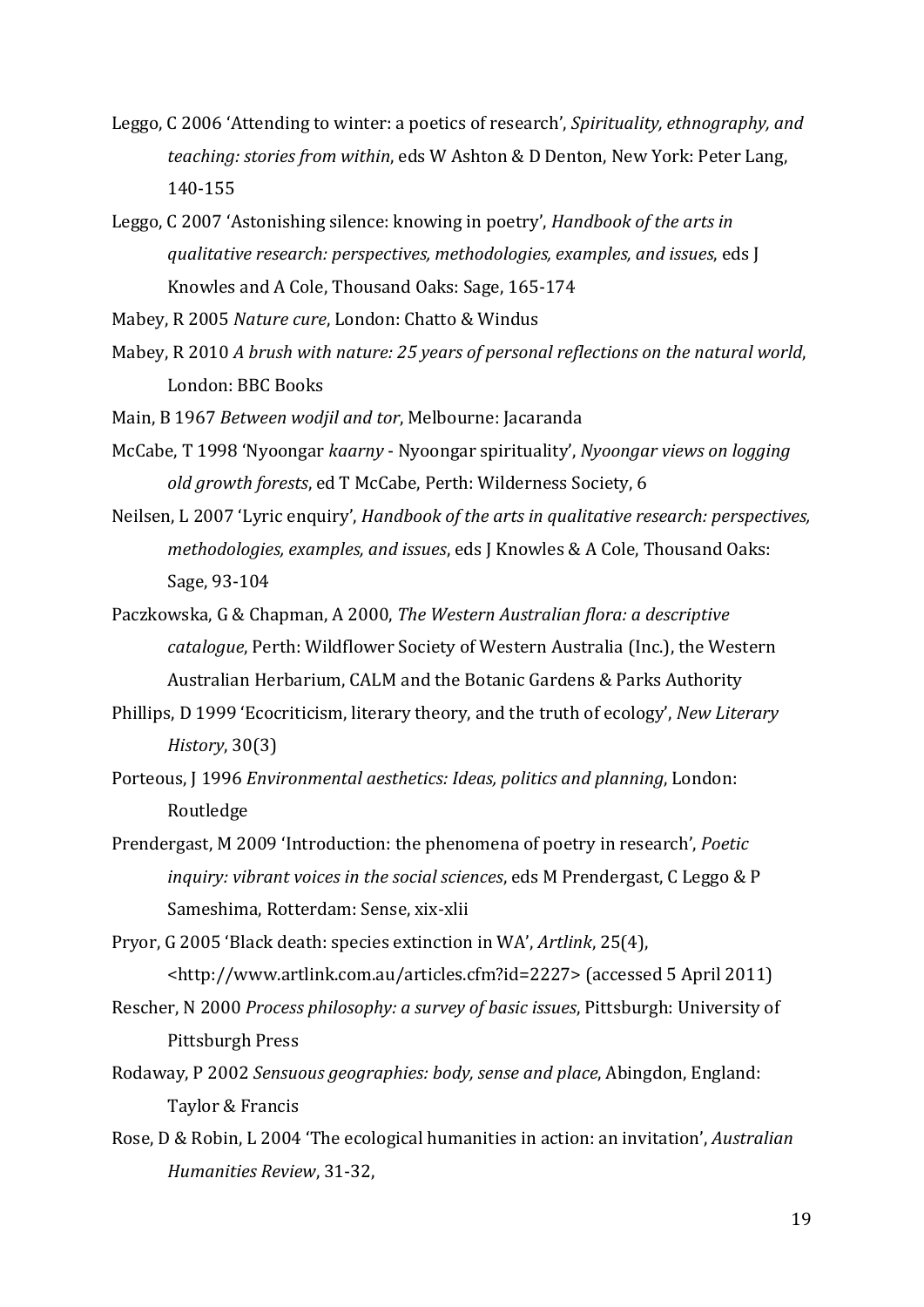- Leggo, C 2006 'Attending to winter: a poetics of research', *Spirituality, ethnography, and teaching: stories from within*, eds W Ashton & D Denton, New York: Peter Lang, 140-155
- Leggo, C 2007 'Astonishing silence: knowing in poetry', *Handbook of the arts in qualitative research: perspectives, methodologies, examples, and issues*, eds J Knowles and A Cole, Thousand Oaks: Sage, 165-174

Mabey, R 2005 *Nature cure*, London: Chatto & Windus

Mabey, R 2010 *A brush with nature: 25 years of personal reflections on the natural world*, London: BBC Books

Main, B 1967 *Between wodjil and tor*, Melbourne: Jacaranda

- McCabe, T 1998 'Nyoongar *kaarny* Nyoongar spirituality', *Nyoongar views on logging old growth forests*, ed T McCabe, Perth: Wilderness Society, 6
- Neilsen, L 2007 'Lyric enquiry', *Handbook of the arts in qualitative research: perspectives, methodologies, examples, and issues*, eds J Knowles & A Cole, Thousand Oaks: Sage, 93-104
- Paczkowska, G & Chapman, A 2000, *The Western Australian flora: a descriptive catalogue*, Perth: Wildflower Society of Western Australia (Inc.), the Western Australian Herbarium, CALM and the Botanic Gardens & Parks Authority
- Phillips, D 1999 'Ecocriticism, literary theory, and the truth of ecology', *New Literary History*, 30(3)
- Porteous, J 1996 *Environmental aesthetics: Ideas, politics and planning*, London: Routledge
- Prendergast, M 2009 'Introduction: the phenomena of poetry in research', *Poetic inquiry: vibrant voices in the social sciences*, eds M Prendergast, C Leggo & P Sameshima, Rotterdam: Sense, xix-xlii

Pryor, G 2005 'Black death: species extinction in WA', *Artlink*, 25(4), <http://www.artlink.com.au/articles.cfm?id=2227> (accessed 5 April 2011)

- Rescher, N 2000 *Process philosophy: a survey of basic issues*, Pittsburgh: University of Pittsburgh Press
- Rodaway, P 2002 *Sensuous geographies: body, sense and place*, Abingdon, England: Taylor & Francis
- Rose, D & Robin, L 2004 'The ecological humanities in action: an invitation', *Australian Humanities Review*, 31-32,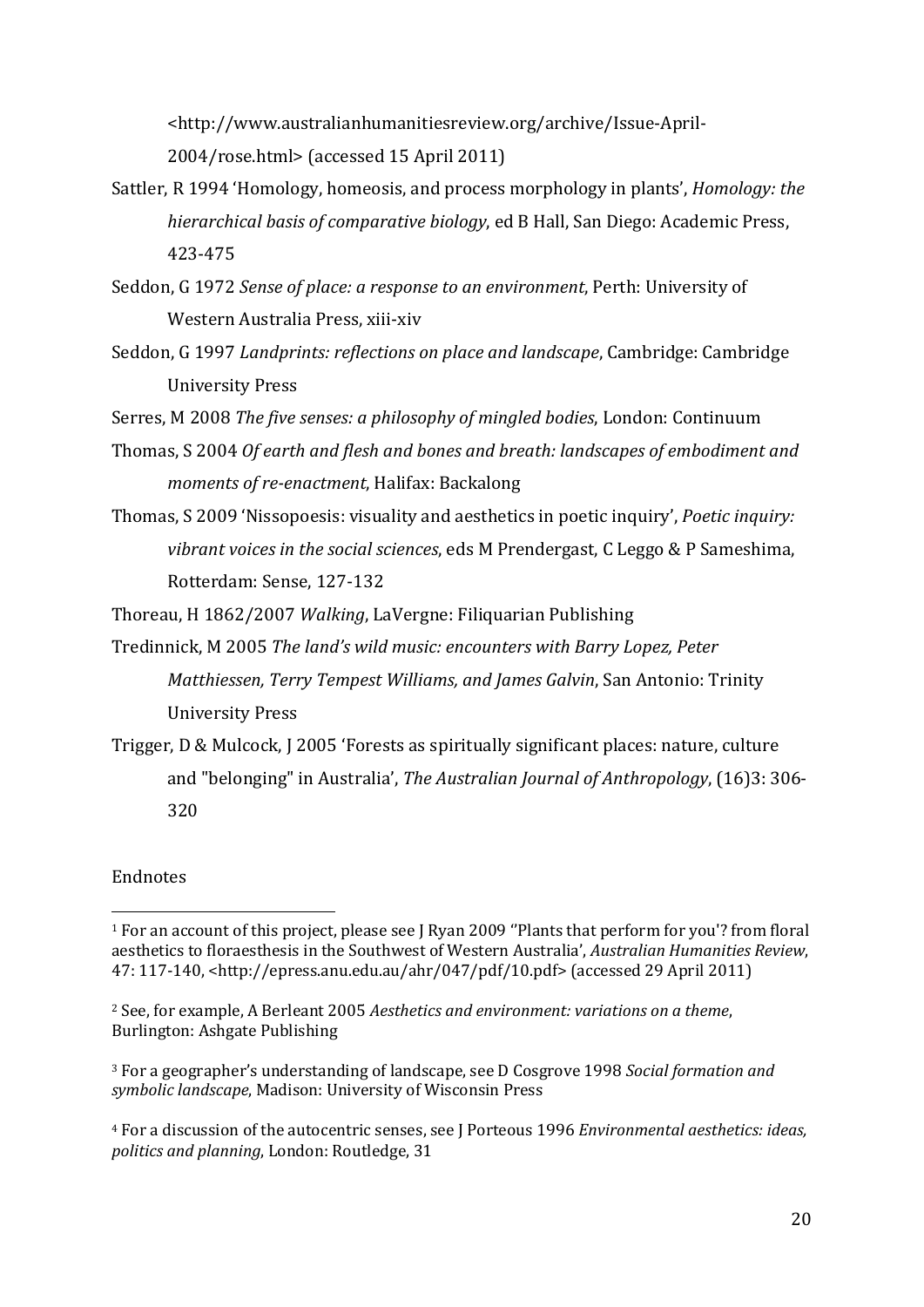<http://www.australianhumanitiesreview.org/archive/Issue-April-2004/rose.html> (accessed 15 April 2011)

- Sattler, R 1994 'Homology, homeosis, and process morphology in plants', *Homology: the hierarchical basis of comparative biology*, ed B Hall, San Diego: Academic Press, 423-475
- Seddon, G 1972 *Sense of place: a response to an environment*, Perth: University of Western Australia Press, xiii-xiv
- Seddon, G 1997 *Landprints: reflections on place and landscape*, Cambridge: Cambridge University Press

Serres, M 2008 *The five senses: a philosophy of mingled bodies*, London: Continuum

- Thomas, S 2004 *Of earth and flesh and bones and breath: landscapes of embodiment and moments of re-enactment*, Halifax: Backalong
- Thomas, S 2009 'Nissopoesis: visuality and aesthetics in poetic inquiry', *Poetic inquiry: vibrant voices in the social sciences*, eds M Prendergast, C Leggo & P Sameshima, Rotterdam: Sense, 127-132

Thoreau, H 1862/2007 *Walking*, LaVergne: Filiquarian Publishing

Tredinnick, M 2005 *The land's wild music: encounters with Barry Lopez, Peter Matthiessen, Terry Tempest Williams, and James Galvin*, San Antonio: Trinity University Press

Trigger, D & Mulcock, J 2005 'Forests as spiritually significant places: nature, culture and "belonging" in Australia', *The Australian Journal of Anthropology*, (16)3: 306- 320

# Endnotes

<span id="page-20-1"></span><sup>2</sup> See, for example, A Berleant 2005 *Aesthetics and environment: variations on a theme*, Burlington: Ashgate Publishing

<span id="page-20-2"></span><sup>3</sup> For a geographer's understanding of landscape, see D Cosgrove 1998 *Social formation and symbolic landscape*, Madison: University of Wisconsin Press

<span id="page-20-3"></span><sup>4</sup> For a discussion of the autocentric senses, see J Porteous 1996 *Environmental aesthetics: ideas, politics and planning*, London: Routledge, 31

<span id="page-20-0"></span> <sup>1</sup> For an account of this project, please see J Ryan 2009 ''Plants that perform for you'? from floral aesthetics to floraesthesis in the Southwest of Western Australia', *Australian Humanities Review*, 47: 117-140, <http://epress.anu.edu.au/ahr/047/pdf/10.pdf> (accessed 29 April 2011)